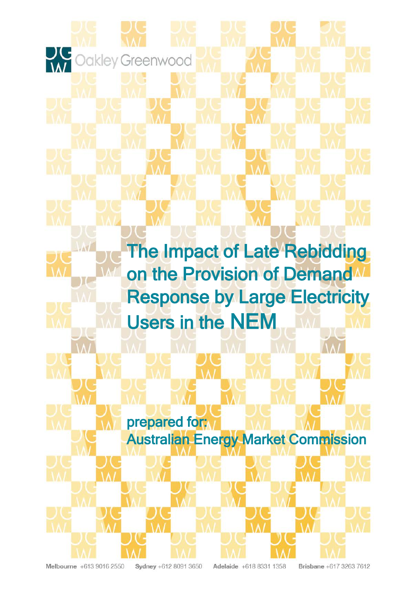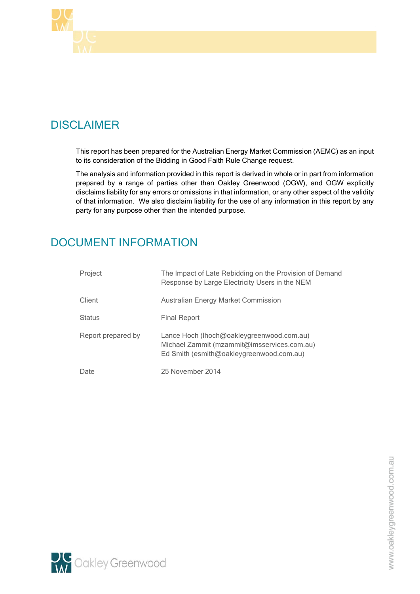

# **DISCLAIMER**

This report has been prepared for the Australian Energy Market Commission (AEMC) as an input to its consideration of the Bidding in Good Faith Rule Change request.

The analysis and information provided in this report is derived in whole or in part from information prepared by a range of parties other than Oakley Greenwood (OGW), and OGW explicitly disclaims liability for any errors or omissions in that information, or any other aspect of the validity of that information. We also disclaim liability for the use of any information in this report by any party for any purpose other than the intended purpose.

## DOCUMENT INFORMATION

| Project            | The Impact of Late Rebidding on the Provision of Demand<br>Response by Large Electricity Users in the NEM                            |
|--------------------|--------------------------------------------------------------------------------------------------------------------------------------|
| Client             | <b>Australian Energy Market Commission</b>                                                                                           |
| <b>Status</b>      | <b>Final Report</b>                                                                                                                  |
| Report prepared by | Lance Hoch (lhoch@oakleygreenwood.com.au)<br>Michael Zammit (mzammit@imsservices.com.au)<br>Ed Smith (esmith@oakleygreenwood.com.au) |
| Date               | 25 November 2014                                                                                                                     |

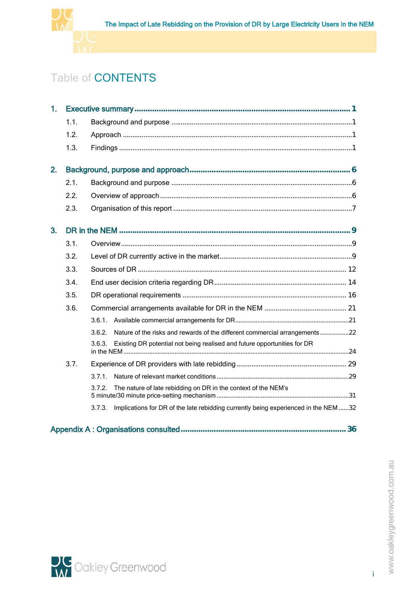

# Table of CONTENTS

| 1. |      |                                                                                               |  |  |  |  |  |
|----|------|-----------------------------------------------------------------------------------------------|--|--|--|--|--|
|    | 1.1. |                                                                                               |  |  |  |  |  |
|    | 1.2. |                                                                                               |  |  |  |  |  |
|    | 1.3. |                                                                                               |  |  |  |  |  |
| 2. |      |                                                                                               |  |  |  |  |  |
|    | 2.1. |                                                                                               |  |  |  |  |  |
|    | 2.2. |                                                                                               |  |  |  |  |  |
|    | 2.3. |                                                                                               |  |  |  |  |  |
| 3. |      |                                                                                               |  |  |  |  |  |
|    | 3.1. |                                                                                               |  |  |  |  |  |
|    | 3.2. |                                                                                               |  |  |  |  |  |
|    | 3.3. |                                                                                               |  |  |  |  |  |
|    | 3.4. |                                                                                               |  |  |  |  |  |
|    | 3.5. |                                                                                               |  |  |  |  |  |
|    | 3.6. |                                                                                               |  |  |  |  |  |
|    |      | 3.6.1                                                                                         |  |  |  |  |  |
|    |      | 3.6.2.<br>Nature of the risks and rewards of the different commercial arrangements22          |  |  |  |  |  |
|    |      | Existing DR potential not being realised and future opportunities for DR<br>3.6.3.            |  |  |  |  |  |
|    | 3.7. |                                                                                               |  |  |  |  |  |
|    |      | 3.7.1                                                                                         |  |  |  |  |  |
|    |      | 3.7.2.<br>The nature of late rebidding on DR in the context of the NEM's                      |  |  |  |  |  |
|    |      | Implications for DR of the late rebidding currently being experienced in the NEM 32<br>3.7.3. |  |  |  |  |  |
|    |      |                                                                                               |  |  |  |  |  |



i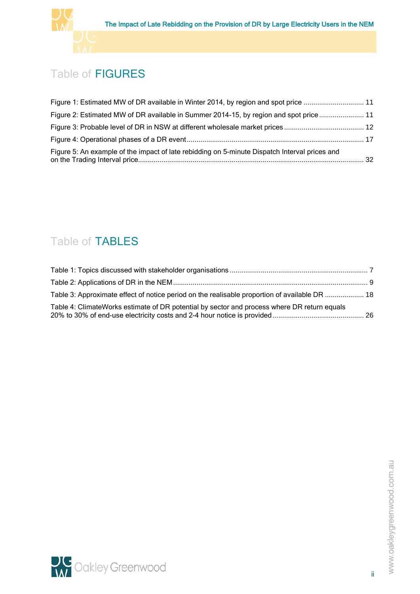



# Table of FIGURES

| Figure 1: Estimated MW of DR available in Winter 2014, by region and spot price  11           |  |
|-----------------------------------------------------------------------------------------------|--|
| Figure 2: Estimated MW of DR available in Summer 2014-15, by region and spot price  11        |  |
|                                                                                               |  |
|                                                                                               |  |
| Figure 5: An example of the impact of late rebidding on 5-minute Dispatch Interval prices and |  |

# Table of TABLES

| Table 3: Approximate effect of notice period on the realisable proportion of available DR  18 |  |
|-----------------------------------------------------------------------------------------------|--|
| Table 4: ClimateWorks estimate of DR potential by sector and process where DR return equals   |  |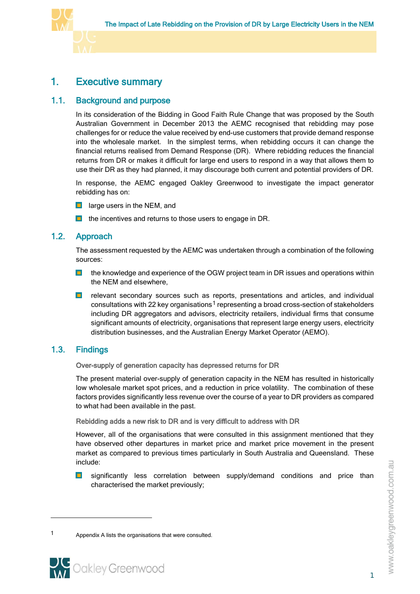

## <span id="page-4-0"></span>1. Executive summary

## 1.1. Background and purpose

<span id="page-4-1"></span>In its consideration of the Bidding in Good Faith Rule Change that was proposed by the South Australian Government in December 2013 the AEMC recognised that rebidding may pose challenges for or reduce the value received by end-use customers that provide demand response into the wholesale market. In the simplest terms, when rebidding occurs it can change the financial returns realised from Demand Response (DR). Where rebidding reduces the financial returns from DR or makes it difficult for large end users to respond in a way that allows them to use their DR as they had planned, it may discourage both current and potential providers of DR.

In response, the AEMC engaged Oakley Greenwood to investigate the impact generator rebidding has on:

- **large users in the NEM, and**
- <span id="page-4-2"></span> $\blacksquare$  the incentives and returns to those users to engage in DR.

### 1.2. Approach

The assessment requested by the AEMC was undertaken through a combination of the following sources:

- $\blacksquare$ the knowledge and experience of the OGW project team in DR issues and operations within the NEM and elsewhere,
- $\blacksquare$ relevant secondary sources such as reports, presentations and articles, and individual consultations with 22 key organisations<sup>[1](#page-4-4)</sup> representing a broad cross-section of stakeholders including DR aggregators and advisors, electricity retailers, individual firms that consume significant amounts of electricity, organisations that represent large energy users, electricity distribution businesses, and the Australian Energy Market Operator (AEMO).

## 1.3. Findings

 $\overline{a}$ 

#### <span id="page-4-3"></span>Over-supply of generation capacity has depressed returns for DR

The present material over-supply of generation capacity in the NEM has resulted in historically low wholesale market spot prices, and a reduction in price volatility. The combination of these factors provides significantly less revenue over the course of a year to DR providers as compared to what had been available in the past.

#### Rebidding adds a new risk to DR and is very difficult to address with DR

However, all of the organisations that were consulted in this assignment mentioned that they have observed other departures in market price and market price movement in the present market as compared to previous times particularly in South Australia and Queensland. These include:

 $\blacksquare$ significantly less correlation between supply/demand conditions and price than characterised the market previously;

<span id="page-4-4"></span><sup>1</sup> Appendix A lists the organisations that were consulted.



www.oakleygreenwood.com.au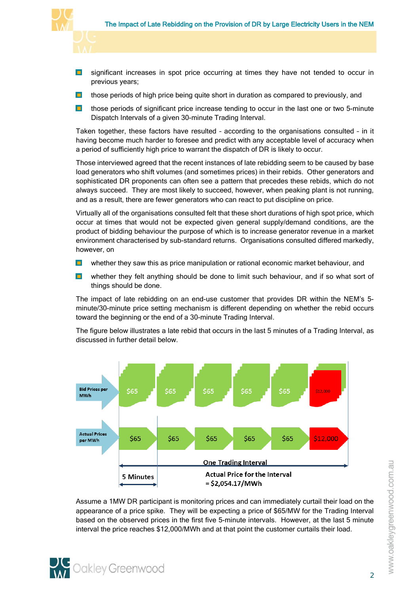

- $\blacksquare$ significant increases in spot price occurring at times they have not tended to occur in previous years;
- $\blacksquare$ those periods of high price being quite short in duration as compared to previously, and
- $\blacksquare$ those periods of significant price increase tending to occur in the last one or two 5-minute Dispatch Intervals of a given 30-minute Trading Interval.

Taken together, these factors have resulted – according to the organisations consulted – in it having become much harder to foresee and predict with any acceptable level of accuracy when a period of sufficiently high price to warrant the dispatch of DR is likely to occur.

Those interviewed agreed that the recent instances of late rebidding seem to be caused by base load generators who shift volumes (and sometimes prices) in their rebids. Other generators and sophisticated DR proponents can often see a pattern that precedes these rebids, which do not always succeed. They are most likely to succeed, however, when peaking plant is not running, and as a result, there are fewer generators who can react to put discipline on price.

Virtually all of the organisations consulted felt that these short durations of high spot price, which occur at times that would not be expected given general supply/demand conditions, are the product of bidding behaviour the purpose of which is to increase generator revenue in a market environment characterised by sub-standard returns. Organisations consulted differed markedly, however, on

- $\blacksquare$ whether they saw this as price manipulation or rational economic market behaviour, and
- $\blacksquare$ whether they felt anything should be done to limit such behaviour, and if so what sort of things should be done.

The impact of late rebidding on an end-use customer that provides DR within the NEM's 5 minute/30-minute price setting mechanism is different depending on whether the rebid occurs toward the beginning or the end of a 30-minute Trading Interval.

The figure below illustrates a late rebid that occurs in the last 5 minutes of a Trading Interval, as discussed in further detail below.



Assume a 1MW DR participant is monitoring prices and can immediately curtail their load on the appearance of a price spike. They will be expecting a price of \$65/MW for the Trading Interval based on the observed prices in the first five 5-minute intervals. However, at the last 5 minute interval the price reaches \$12,000/MWh and at that point the customer curtails their load.

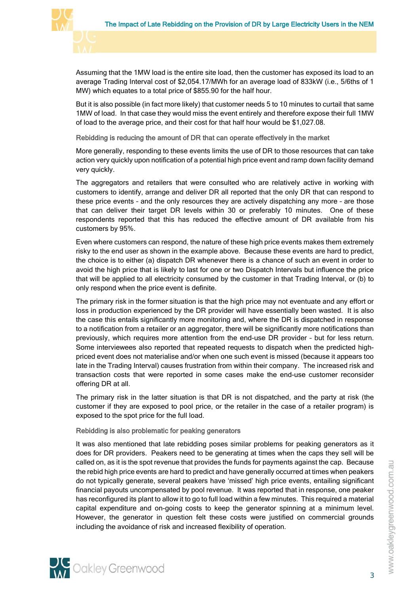

Assuming that the 1MW load is the entire site load, then the customer has exposed its load to an average Trading Interval cost of \$2,054.17/MWh for an average load of 833kW (i.e., 5/6ths of 1 MW) which equates to a total price of \$855.90 for the half hour.

But it is also possible (in fact more likely) that customer needs 5 to 10 minutes to curtail that same 1MW of load. In that case they would miss the event entirely and therefore expose their full 1MW of load to the average price, and their cost for that half hour would be \$1,027.08.

Rebidding is reducing the amount of DR that can operate effectively in the market

More generally, responding to these events limits the use of DR to those resources that can take action very quickly upon notification of a potential high price event and ramp down facility demand very quickly.

The aggregators and retailers that were consulted who are relatively active in working with customers to identify, arrange and deliver DR all reported that the only DR that can respond to these price events – and the only resources they are actively dispatching any more – are those that can deliver their target DR levels within 30 or preferably 10 minutes. One of these respondents reported that this has reduced the effective amount of DR available from his customers by 95%.

Even where customers can respond, the nature of these high price events makes them extremely risky to the end user as shown in the example above. Because these events are hard to predict, the choice is to either (a) dispatch DR whenever there is a chance of such an event in order to avoid the high price that is likely to last for one or two Dispatch Intervals but influence the price that will be applied to all electricity consumed by the customer in that Trading Interval, or (b) to only respond when the price event is definite.

The primary risk in the former situation is that the high price may not eventuate and any effort or loss in production experienced by the DR provider will have essentially been wasted. It is also the case this entails significantly more monitoring and, where the DR is dispatched in response to a notification from a retailer or an aggregator, there will be significantly more notifications than previously, which requires more attention from the end-use DR provider – but for less return. Some interviewees also reported that repeated requests to dispatch when the predicted highpriced event does not materialise and/or when one such event is missed (because it appears too late in the Trading Interval) causes frustration from within their company. The increased risk and transaction costs that were reported in some cases make the end-use customer reconsider offering DR at all.

The primary risk in the latter situation is that DR is not dispatched, and the party at risk (the customer if they are exposed to pool price, or the retailer in the case of a retailer program) is exposed to the spot price for the full load.

#### Rebidding is also problematic for peaking generators

It was also mentioned that late rebidding poses similar problems for peaking generators as it does for DR providers. Peakers need to be generating at times when the caps they sell will be called on, as it is the spot revenue that provides the funds for payments against the cap. Because the rebid high price events are hard to predict and have generally occurred at times when peakers do not typically generate, several peakers have 'missed' high price events, entailing significant financial payouts uncompensated by pool revenue. It was reported that in response, one peaker has reconfigured its plant to allow it to go to full load within a few minutes. This required a material capital expenditure and on-going costs to keep the generator spinning at a minimum level. However, the generator in question felt these costs were justified on commercial grounds including the avoidance of risk and increased flexibility of operation.

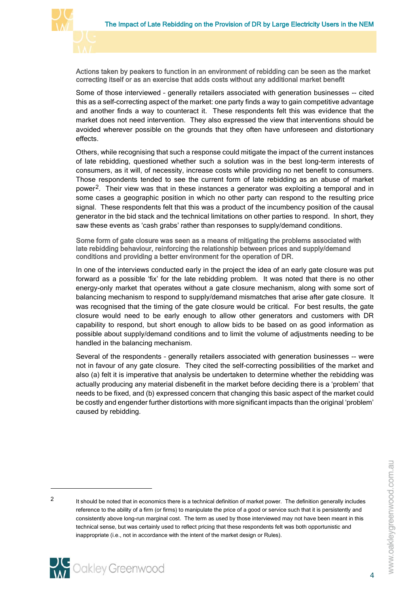

Actions taken by peakers to function in an environment of rebidding can be seen as the market correcting itself or as an exercise that adds costs without any additional market benefit

Some of those interviewed – generally retailers associated with generation businesses -- cited this as a self-correcting aspect of the market: one party finds a way to gain competitive advantage and another finds a way to counteract it. These respondents felt this was evidence that the market does not need intervention. They also expressed the view that interventions should be avoided wherever possible on the grounds that they often have unforeseen and distortionary effects.

Others, while recognising that such a response could mitigate the impact of the current instances of late rebidding, questioned whether such a solution was in the best long-term interests of consumers, as it will, of necessity, increase costs while providing no net benefit to consumers. Those respondents tended to see the current form of late rebidding as an abuse of market power[2.](#page-7-0) Their view was that in these instances a generator was exploiting a temporal and in some cases a geographic position in which no other party can respond to the resulting price signal. These respondents felt that this was a product of the incumbency position of the causal generator in the bid stack and the technical limitations on other parties to respond. In short, they saw these events as 'cash grabs' rather than responses to supply/demand conditions.

Some form of gate closure was seen as a means of mitigating the problems associated with late rebidding behaviour, reinforcing the relationship between prices and supply/demand conditions and providing a better environment for the operation of DR.

In one of the interviews conducted early in the project the idea of an early gate closure was put forward as a possible 'fix' for the late rebidding problem. It was noted that there is no other energy-only market that operates without a gate closure mechanism, along with some sort of balancing mechanism to respond to supply/demand mismatches that arise after gate closure. It was recognised that the timing of the gate closure would be critical. For best results, the gate closure would need to be early enough to allow other generators and customers with DR capability to respond, but short enough to allow bids to be based on as good information as possible about supply/demand conditions and to limit the volume of adjustments needing to be handled in the balancing mechanism.

Several of the respondents – generally retailers associated with generation businesses -- were not in favour of any gate closure. They cited the self-correcting possibilities of the market and also (a) felt it is imperative that analysis be undertaken to determine whether the rebidding was actually producing any material disbenefit in the market before deciding there is a 'problem' that needs to be fixed, and (b) expressed concern that changing this basic aspect of the market could be costly and engender further distortions with more significant impacts than the original 'problem' caused by rebidding.

<span id="page-7-0"></span><sup>2</sup> It should be noted that in economics there is a technical definition of market power. The definition generally includes reference to the ability of a firm (or firms) to manipulate the price of a good or service such that it is persistently and consistently above long-run marginal cost. The term as used by those interviewed may not have been meant in this technical sense, but was certainly used to reflect pricing that these respondents felt was both opportunistic and inappropriate (i.e., not in accordance with the intent of the market design or Rules).



www.oakleygreenwood.com.au

 $\overline{a}$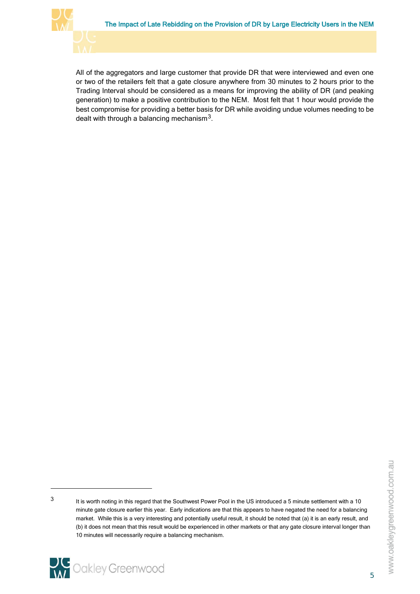

All of the aggregators and large customer that provide DR that were interviewed and even one or two of the retailers felt that a gate closure anywhere from 30 minutes to 2 hours prior to the Trading Interval should be considered as a means for improving the ability of DR (and peaking generation) to make a positive contribution to the NEM. Most felt that 1 hour would provide the best compromise for providing a better basis for DR while avoiding undue volumes needing to be dealt with through a balancing mechanism<sup>[3](#page-8-0)</sup>.

<span id="page-8-0"></span><sup>3</sup> It is worth noting in this regard that the Southwest Power Pool in the US introduced a 5 minute settlement with a 10 minute gate closure earlier this year. Early indications are that this appears to have negated the need for a balancing market. While this is a very interesting and potentially useful result, it should be noted that (a) it is an early result, and (b) it does not mean that this result would be experienced in other markets or that any gate closure interval longer than 10 minutes will necessarily require a balancing mechanism.



 $\overline{a}$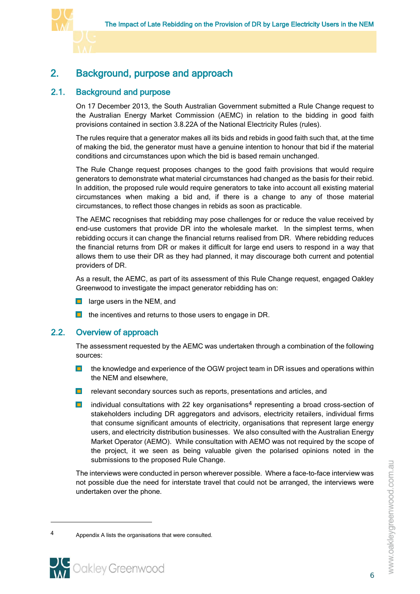



## <span id="page-9-0"></span>2. Background, purpose and approach

## 2.1. Background and purpose

<span id="page-9-1"></span>On 17 December 2013, the South Australian Government submitted a Rule Change request to the Australian Energy Market Commission (AEMC) in relation to the bidding in good faith provisions contained in section 3.8.22A of the National Electricity Rules (rules).

The rules require that a generator makes all its bids and rebids in good faith such that, at the time of making the bid, the generator must have a genuine intention to honour that bid if the material conditions and circumstances upon which the bid is based remain unchanged.

The Rule Change request proposes changes to the good faith provisions that would require generators to demonstrate what material circumstances had changed as the basis for their rebid. In addition, the proposed rule would require generators to take into account all existing material circumstances when making a bid and, if there is a change to any of those material circumstances, to reflect those changes in rebids as soon as practicable.

The AEMC recognises that rebidding may pose challenges for or reduce the value received by end-use customers that provide DR into the wholesale market. In the simplest terms, when rebidding occurs it can change the financial returns realised from DR. Where rebidding reduces the financial returns from DR or makes it difficult for large end users to respond in a way that allows them to use their DR as they had planned, it may discourage both current and potential providers of DR.

As a result, the AEMC, as part of its assessment of this Rule Change request, engaged Oakley Greenwood to investigate the impact generator rebidding has on:

- **L** large users in the NEM, and
- <span id="page-9-2"></span> $\blacksquare$  the incentives and returns to those users to engage in DR.

## 2.2. Overview of approach

The assessment requested by the AEMC was undertaken through a combination of the following sources:

- $\blacksquare$ the knowledge and experience of the OGW project team in DR issues and operations within the NEM and elsewhere,
- $\blacksquare$ relevant secondary sources such as reports, presentations and articles, and
- $\blacksquare$ individual consultations with 22 key organisations<sup>[4](#page-9-3)</sup> representing a broad cross-section of stakeholders including DR aggregators and advisors, electricity retailers, individual firms that consume significant amounts of electricity, organisations that represent large energy users, and electricity distribution businesses. We also consulted with the Australian Energy Market Operator (AEMO). While consultation with AEMO was not required by the scope of the project, it we seen as being valuable given the polarised opinions noted in the submissions to the proposed Rule Change.

The interviews were conducted in person wherever possible. Where a face-to-face interview was not possible due the need for interstate travel that could not be arranged, the interviews were undertaken over the phone.

<span id="page-9-3"></span><sup>4</sup> Appendix A lists the organisations that were consulted.



www.oakleygreenwood.com.au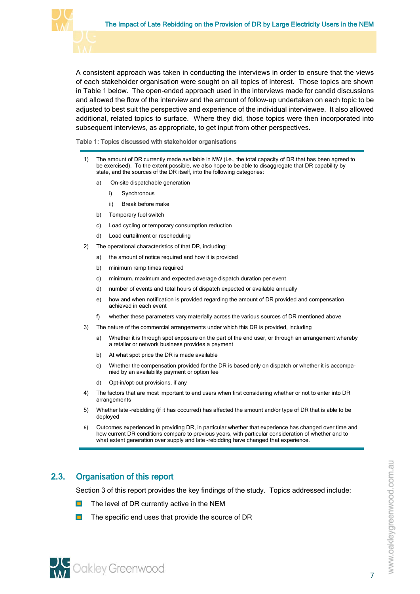

A consistent approach was taken in conducting the interviews in order to ensure that the views of each stakeholder organisation were sought on all topics of interest. Those topics are shown in [Table 1](#page-10-1) below. The open-ended approach used in the interviews made for candid discussions and allowed the flow of the interview and the amount of follow-up undertaken on each topic to be adjusted to best suit the perspective and experience of the individual interviewee. It also allowed additional, related topics to surface. Where they did, those topics were then incorporated into subsequent interviews, as appropriate, to get input from other perspectives.

<span id="page-10-1"></span>Table 1: Topics discussed with stakeholder organisations

- 1) The amount of DR currently made available in MW (i.e., the total capacity of DR that has been agreed to be exercised). To the extent possible, we also hope to be able to disaggregate that DR capability by state, and the sources of the DR itself, into the following categories:
	- a) On-site dispatchable generation
		- i) Synchronous
		- ii) Break before make
	- b) Temporary fuel switch
	- c) Load cycling or temporary consumption reduction
	- d) Load curtailment or rescheduling
- 2) The operational characteristics of that DR, including:
	- a) the amount of notice required and how it is provided
	- b) minimum ramp times required
	- c) minimum, maximum and expected average dispatch duration per event
	- d) number of events and total hours of dispatch expected or available annually
	- e) how and when notification is provided regarding the amount of DR provided and compensation achieved in each event
	- f) whether these parameters vary materially across the various sources of DR mentioned above
- 3) The nature of the commercial arrangements under which this DR is provided, including
	- a) Whether it is through spot exposure on the part of the end user, or through an arrangement whereby a retailer or network business provides a payment
	- b) At what spot price the DR is made available
	- c) Whether the compensation provided for the DR is based only on dispatch or whether it is accompanied by an availability payment or option fee
	- d) Opt-in/opt-out provisions, if any
- 4) The factors that are most important to end users when first considering whether or not to enter into DR arrangements
- 5) Whether late –rebidding (if it has occurred) has affected the amount and/or type of DR that is able to be deployed
- 6) Outcomes experienced in providing DR, in particular whether that experience has changed over time and how current DR conditions compare to previous years, with particular consideration of whether and to what extent generation over supply and late –rebidding have changed that experience.

## 2.3. Organisation of this report

<span id="page-10-0"></span>Section [3](#page-12-0) of this report provides the key findings of the study. Topics addressed include:

- $\blacksquare$ The level of DR currently active in the NEM
- $\blacksquare$ The specific end uses that provide the source of DR

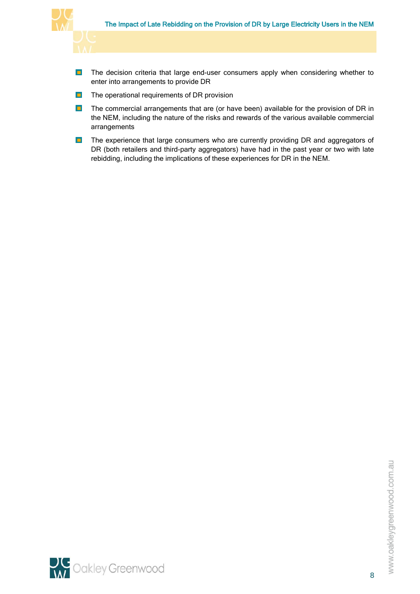

- $\blacksquare$ The decision criteria that large end-user consumers apply when considering whether to enter into arrangements to provide DR
- $\blacksquare$ The operational requirements of DR provision
- $\blacksquare$ The commercial arrangements that are (or have been) available for the provision of DR in the NEM, including the nature of the risks and rewards of the various available commercial arrangements
- $\blacksquare$ The experience that large consumers who are currently providing DR and aggregators of DR (both retailers and third-party aggregators) have had in the past year or two with late rebidding, including the implications of these experiences for DR in the NEM.

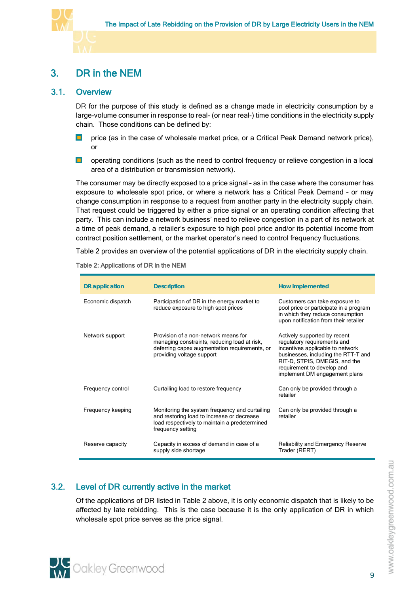

## <span id="page-12-0"></span>3. DR in the NEM

### 3.1. Overview

<span id="page-12-1"></span>DR for the purpose of this study is defined as a change made in electricity consumption by a large-volume consumer in response to real- (or near real-) time conditions in the electricity supply chain. Those conditions can be defined by:

- price (as in the case of wholesale market price, or a Critical Peak Demand network price),  $\blacksquare$ or
- $\blacksquare$ operating conditions (such as the need to control frequency or relieve congestion in a local area of a distribution or transmission network).

The consumer may be directly exposed to a price signal – as in the case where the consumer has exposure to wholesale spot price, or where a network has a Critical Peak Demand – or may change consumption in response to a request from another party in the electricity supply chain. That request could be triggered by either a price signal or an operating condition affecting that party. This can include a network business' need to relieve congestion in a part of its network at a time of peak demand, a retailer's exposure to high pool price and/or its potential income from contract position settlement, or the market operator's need to control frequency fluctuations.

[Table 2](#page-12-3) provides an overview of the potential applications of DR in the electricity supply chain.

| DR application    | <b>Description</b>                                                                                                                                                 | How implemented                                                                                                                                                                                                                        |
|-------------------|--------------------------------------------------------------------------------------------------------------------------------------------------------------------|----------------------------------------------------------------------------------------------------------------------------------------------------------------------------------------------------------------------------------------|
| Economic dispatch | Participation of DR in the energy market to<br>reduce exposure to high spot prices                                                                                 | Customers can take exposure to<br>pool price or participate in a program<br>in which they reduce consumption<br>upon notification from their retailer                                                                                  |
| Network support   | Provision of a non-network means for<br>managing constraints, reducing load at risk,<br>deferring capex augmentation requirements, or<br>providing voltage support | Actively supported by recent<br>regulatory requirements and<br>incentives applicable to network<br>businesses, including the RTT-T and<br>RIT-D, STPIS, DMEGIS, and the<br>requirement to develop and<br>implement DM engagement plans |
| Frequency control | Curtailing load to restore frequency                                                                                                                               | Can only be provided through a<br>retailer                                                                                                                                                                                             |
| Frequency keeping | Monitoring the system frequency and curtailing<br>and restoring load to increase or decrease<br>load respectively to maintain a predetermined<br>frequency setting | Can only be provided through a<br>retailer                                                                                                                                                                                             |
| Reserve capacity  | Capacity in excess of demand in case of a<br>supply side shortage                                                                                                  | <b>Reliability and Emergency Reserve</b><br>Trader (RERT)                                                                                                                                                                              |

<span id="page-12-3"></span>

|  | Table 2: Applications of DR in the NEM |  |  |  |
|--|----------------------------------------|--|--|--|
|  |                                        |  |  |  |

## 3.2. Level of DR currently active in the market

<span id="page-12-2"></span>Of the applications of DR listed in [Table 2](#page-12-3) above, it is only economic dispatch that is likely to be affected by late rebidding. This is the case because it is the only application of DR in which wholesale spot price serves as the price signal.

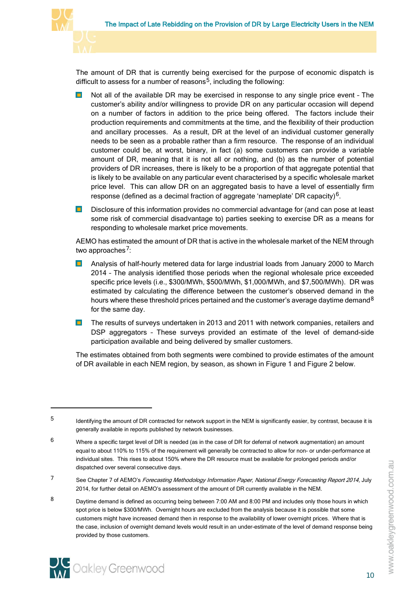

The amount of DR that is currently being exercised for the purpose of economic dispatch is difficult to assess for a number of reasons<sup>[5](#page-13-0)</sup>, including the following:

- $\blacksquare$ Not all of the available DR may be exercised in response to any single price event – The customer's ability and/or willingness to provide DR on any particular occasion will depend on a number of factors in addition to the price being offered. The factors include their production requirements and commitments at the time, and the flexibility of their production and ancillary processes. As a result, DR at the level of an individual customer generally needs to be seen as a probable rather than a firm resource. The response of an individual customer could be, at worst, binary, in fact (a) some customers can provide a variable amount of DR, meaning that it is not all or nothing, and (b) as the number of potential providers of DR increases, there is likely to be a proportion of that aggregate potential that is likely to be available on any particular event characterised by a specific wholesale market price level. This can allow DR on an aggregated basis to have a level of essentially firm response (defined as a decimal fraction of aggregate 'nameplate' DR capacity) $6$ .
- $\mathbf{m}_{\mathrm{c}}$ Disclosure of this information provides no commercial advantage for (and can pose at least some risk of commercial disadvantage to) parties seeking to exercise DR as a means for responding to wholesale market price movements.

AEMO has estimated the amount of DR that is active in the wholesale market of the NEM through two approaches $7$ :

- **D** Analysis of half-hourly metered data for large industrial loads from January 2000 to March 2014 – The analysis identified those periods when the regional wholesale price exceeded specific price levels (i.e., \$300/MWh, \$500/MWh, \$1,000/MWh, and \$7,500/MWh). DR was estimated by calculating the difference between the customer's observed demand in the hours where these threshold prices pertained and the customer's average daytime demand<sup>[8](#page-13-3)</sup> for the same day.
- $\blacksquare$ The results of surveys undertaken in 2013 and 2011 with network companies, retailers and DSP aggregators – These surveys provided an estimate of the level of demand-side participation available and being delivered by smaller customers.

The estimates obtained from both segments were combined to provide estimates of the amount of DR available in each NEM region, by season, as shown in [Figure 1](#page-14-0) and [Figure 2](#page-14-1) below.

<span id="page-13-3"></span><span id="page-13-2"></span><sup>8</sup> Daytime demand is defined as occurring being between 7:00 AM and 8:00 PM and includes only those hours in which spot price is below \$300/MWh. Overnight hours are excluded from the analysis because it is possible that some customers might have increased demand then in response to the availability of lower overnight prices. Where that is the case, inclusion of overnight demand levels would result in an under-estimate of the level of demand response being provided by those customers.



<span id="page-13-0"></span><sup>5</sup> Identifying the amount of DR contracted for network support in the NEM is significantly easier, by contrast, because it is generally available in reports published by network businesses.

<span id="page-13-1"></span> $6$  Where a specific target level of DR is needed (as in the case of DR for deferral of network augmentation) an amount equal to about 110% to 115% of the requirement will generally be contracted to allow for non- or under-performance at individual sites. This rises to about 150% where the DR resource must be available for prolonged periods and/or dispatched over several consecutive days.

<sup>7</sup> See Chapter 7 of AEMO's Forecasting Methodology Information Paper, National Energy Forecasting Report 2014, July 2014, for further detail on AEMO's assessment of the amount of DR currently available in the NEM.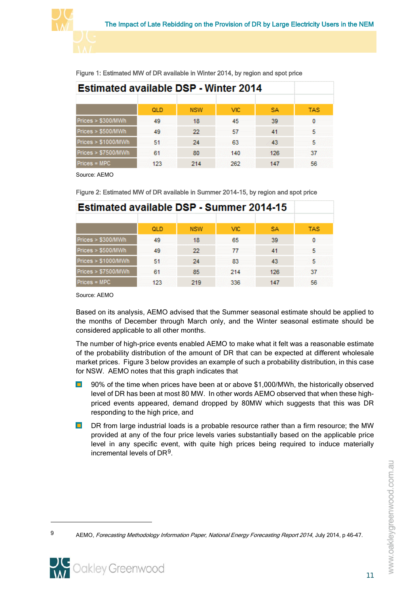| <b>Estimated available DSP - Winter 2014</b> |            |            |      |     |            |
|----------------------------------------------|------------|------------|------|-----|------------|
|                                              | <b>QLD</b> | <b>NSW</b> | VIC. | SA  | <b>TAS</b> |
| Prices > \$300/MWh                           | 49         | 18         | 45   | 39  |            |
| Prices > \$500/MWh                           | 49         | 22         | 57   | 41  | 5          |
| Prices > \$1000/MWh                          | 51         | 24         | 63   | 43  | 5          |
| Prices > \$7500/MWh                          | 61         | 80         | 140  | 126 | 37         |
| Prices = MPC                                 | 123        | 214        | 262  | 147 | 56         |

<span id="page-14-0"></span>Figure 1: Estimated MW of DR available in Winter 2014, by region and spot price

Source: AEMO

#### <span id="page-14-1"></span>Figure 2: Estimated MW of DR available in Summer 2014-15, by region and spot price

| <b>Estimated available DSP - Summer 2014-15</b> |            |            |      |           |            |  |  |  |  |
|-------------------------------------------------|------------|------------|------|-----------|------------|--|--|--|--|
|                                                 | <b>QLD</b> | <b>NSW</b> | VIC. | <b>SA</b> | <b>TAS</b> |  |  |  |  |
| Prices > \$300/MWh                              | 49         | 18         | 65   | 39        | 0          |  |  |  |  |
| Prices > \$500/MWh                              | 49         | 22         | 77   | 41        | 5          |  |  |  |  |
| Prices > \$1000/MWh                             | 51         | 24         | 83   | 43        | 5          |  |  |  |  |
| Prices > \$7500/MWh                             | 61         | 85         | 214  | 126       | 37         |  |  |  |  |
| Prices = MPC                                    | 123        | 219        | 336  | 147       | 56         |  |  |  |  |

Source: AEMO

Based on its analysis, AEMO advised that the Summer seasonal estimate should be applied to the months of December through March only, and the Winter seasonal estimate should be considered applicable to all other months.

The number of high-price events enabled AEMO to make what it felt was a reasonable estimate of the probability distribution of the amount of DR that can be expected at different wholesale market prices. Figure 3 below provides an example of such a probability distribution, in this case for NSW. AEMO notes that this graph indicates that

- 90% of the time when prices have been at or above \$1,000/MWh, the historically observed  $\blacksquare$ level of DR has been at most 80 MW. In other words AEMO observed that when these highpriced events appeared, demand dropped by 80MW which suggests that this was DR responding to the high price, and
- $\blacksquare$ DR from large industrial loads is a probable resource rather than a firm resource; the MW provided at any of the four price levels varies substantially based on the applicable price level in any specific event, with quite high prices being required to induce materially incremental levels of DR[9](#page-14-2).

www.oakleygreenwood.com.au

<span id="page-14-2"></span><sup>9</sup> AEMO, Forecasting Methodology Information Paper, National Energy Forecasting Report 2014, July 2014, p 46-47.

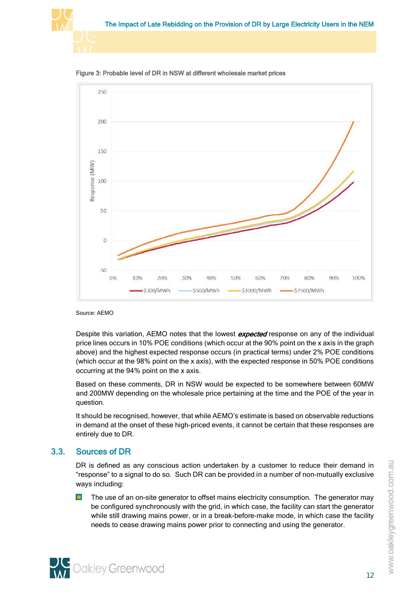



<span id="page-15-1"></span>Figure 3: Probable level of DR in NSW at different wholesale market prices

Source: AEMO

Despite this variation, AEMO notes that the lowest **expected** response on any of the individual price lines occurs in 10% POE conditions (which occur at the 90% point on the x axis in the graph above) and the highest expected response occurs (in practical terms) under 2% POE conditions (which occur at the 98% point on the x axis), with the expected response in 50% POE conditions occurring at the 94% point on the x axis.

Based on these comments, DR in NSW would be expected to be somewhere between 60MW and 200MW depending on the wholesale price pertaining at the time and the POE of the year in question.

It should be recognised, however, that while AEMO's estimate is based on observable reductions in demand at the onset of these high-priced events, it cannot be certain that these responses are entirely due to DR.

## 3.3. Sources of DR

<span id="page-15-0"></span>DR is defined as any conscious action undertaken by a customer to reduce their demand in "response" to a signal to do so. Such DR can be provided in a number of non-mutually exclusive ways including:

 $\blacksquare$ The use of an on-site generator to offset mains electricity consumption. The generator may be configured synchronously with the grid, in which case, the facility can start the generator while still drawing mains power, or in a break-before-make mode, in which case the facility needs to cease drawing mains power prior to connecting and using the generator.

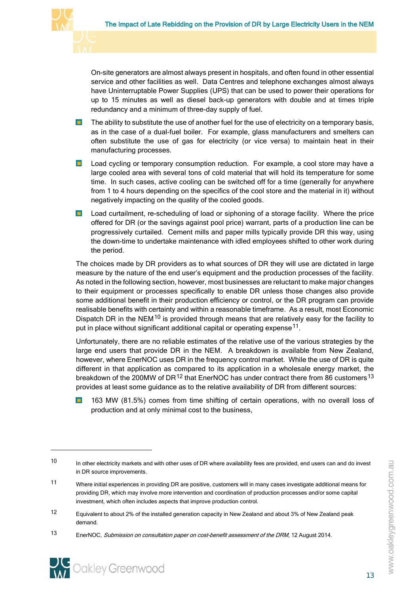

On-site generators are almost always present in hospitals, and often found in other essential service and other facilities as well. Data Centres and telephone exchanges almost always have Uninterruptable Power Supplies (UPS) that can be used to power their operations for up to 15 minutes as well as diesel back-up generators with double and at times triple redundancy and a minimum of three-day supply of fuel.

- $\blacksquare$ The ability to substitute the use of another fuel for the use of electricity on a temporary basis, as in the case of a dual-fuel boiler. For example, glass manufacturers and smelters can often substitute the use of gas for electricity (or vice versa) to maintain heat in their manufacturing processes.
- **Load cycling or temporary consumption reduction.** For example, a cool store may have a large cooled area with several tons of cold material that will hold its temperature for some time. In such cases, active cooling can be switched off for a time (generally for anywhere from 1 to 4 hours depending on the specifics of the cool store and the material in it) without negatively impacting on the quality of the cooled goods.
- $\blacksquare$ Load curtailment, re-scheduling of load or siphoning of a storage facility. Where the price offered for DR (or the savings against pool price) warrant, parts of a production line can be progressively curtailed. Cement mills and paper mills typically provide DR this way, using the down-time to undertake maintenance with idled employees shifted to other work during the period.

The choices made by DR providers as to what sources of DR they will use are dictated in large measure by the nature of the end user's equipment and the production processes of the facility. As noted in the following section, however, most businesses are reluctant to make major changes to their equipment or processes specifically to enable DR unless those changes also provide some additional benefit in their production efficiency or control, or the DR program can provide realisable benefits with certainty and within a reasonable timeframe. As a result, most Economic Dispatch DR in the NEM<sup>[10](#page-16-0)</sup> is provided through means that are relatively easy for the facility to put in place without significant additional capital or operating expense<sup>11</sup>.

Unfortunately, there are no reliable estimates of the relative use of the various strategies by the large end users that provide DR in the NEM. A breakdown is available from New Zealand, however, where EnerNOC uses DR in the frequency control market. While the use of DR is quite different in that application as compared to its application in a wholesale energy market, the breakdown of the 200MW of DR<sup>[12](#page-16-2)</sup> that EnerNOC has under contract there from 86 customers<sup>[13](#page-16-3)</sup> provides at least some guidance as to the relative availability of DR from different sources:

 $\blacksquare$ 163 MW (81.5%) comes from time shifting of certain operations, with no overall loss of production and at only minimal cost to the business,

<span id="page-16-3"></span><span id="page-16-2"></span><sup>13</sup> EnerNOC, Submission on consultation paper on cost-benefit assessment of the DRM, 12 August 2014.



<span id="page-16-0"></span><sup>10</sup> In other electricity markets and with other uses of DR where availability fees are provided, end users can and do invest in DR source improvements.

<span id="page-16-1"></span><sup>11</sup> Where initial experiences in providing DR are positive, customers will in many cases investigate additional means for providing DR, which may involve more intervention and coordination of production processes and/or some capital investment, which often includes aspects that improve production control.

<sup>12</sup> Equivalent to about 2% of the installed generation capacity in New Zealand and about 3% of New Zealand peak demand.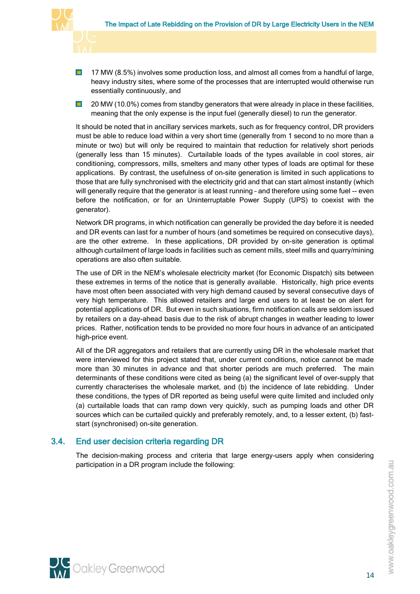

- $\blacksquare$ 17 MW (8.5%) involves some production loss, and almost all comes from a handful of large, heavy industry sites, where some of the processes that are interrupted would otherwise run essentially continuously, and
- $\blacksquare$ 20 MW (10.0%) comes from standby generators that were already in place in these facilities, meaning that the only expense is the input fuel (generally diesel) to run the generator.

It should be noted that in ancillary services markets, such as for frequency control, DR providers must be able to reduce load within a very short time (generally from 1 second to no more than a minute or two) but will only be required to maintain that reduction for relatively short periods (generally less than 15 minutes). Curtailable loads of the types available in cool stores, air conditioning, compressors, mills, smelters and many other types of loads are optimal for these applications. By contrast, the usefulness of on-site generation is limited in such applications to those that are fully synchronised with the electricity grid and that can start almost instantly (which will generally require that the generator is at least running – and therefore using some fuel -- even before the notification, or for an Uninterruptable Power Supply (UPS) to coexist with the generator).

Network DR programs, in which notification can generally be provided the day before it is needed and DR events can last for a number of hours (and sometimes be required on consecutive days), are the other extreme. In these applications, DR provided by on-site generation is optimal although curtailment of large loads in facilities such as cement mills, steel mills and quarry/mining operations are also often suitable.

The use of DR in the NEM's wholesale electricity market (for Economic Dispatch) sits between these extremes in terms of the notice that is generally available. Historically, high price events have most often been associated with very high demand caused by several consecutive days of very high temperature. This allowed retailers and large end users to at least be on alert for potential applications of DR. But even in such situations, firm notification calls are seldom issued by retailers on a day-ahead basis due to the risk of abrupt changes in weather leading to lower prices. Rather, notification tends to be provided no more four hours in advance of an anticipated high-price event.

All of the DR aggregators and retailers that are currently using DR in the wholesale market that were interviewed for this project stated that, under current conditions, notice cannot be made more than 30 minutes in advance and that shorter periods are much preferred. The main determinants of these conditions were cited as being (a) the significant level of over-supply that currently characterises the wholesale market, and (b) the incidence of late rebidding. Under these conditions, the types of DR reported as being useful were quite limited and included only (a) curtailable loads that can ramp down very quickly, such as pumping loads and other DR sources which can be curtailed quickly and preferably remotely, and, to a lesser extent, (b) faststart (synchronised) on-site generation.

## 3.4. End user decision criteria regarding DR

<span id="page-17-0"></span>The decision-making process and criteria that large energy-users apply when considering participation in a DR program include the following:



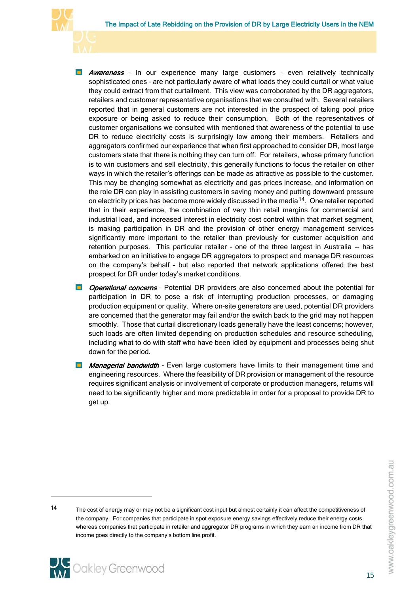

- **Awareness** In our experience many large customers even relatively technically sophisticated ones – are not particularly aware of what loads they could curtail or what value they could extract from that curtailment. This view was corroborated by the DR aggregators, retailers and customer representative organisations that we consulted with. Several retailers reported that in general customers are not interested in the prospect of taking pool price exposure or being asked to reduce their consumption. Both of the representatives of customer organisations we consulted with mentioned that awareness of the potential to use DR to reduce electricity costs is surprisingly low among their members. Retailers and aggregators confirmed our experience that when first approached to consider DR, most large customers state that there is nothing they can turn off. For retailers, whose primary function is to win customers and sell electricity, this generally functions to focus the retailer on other ways in which the retailer's offerings can be made as attractive as possible to the customer. This may be changing somewhat as electricity and gas prices increase, and information on the role DR can play in assisting customers in saving money and putting downward pressure on electricity prices has become more widely discussed in the media<sup>[14](#page-18-0)</sup>. One retailer reported that in their experience, the combination of very thin retail margins for commercial and industrial load, and increased interest in electricity cost control within that market segment, is making participation in DR and the provision of other energy management services significantly more important to the retailer than previously for customer acquisition and retention purposes. This particular retailer – one of the three largest in Australia -- has embarked on an initiative to engage DR aggregators to prospect and manage DR resources on the company's behalf – but also reported that network applications offered the best prospect for DR under today's market conditions.
- **D** Operational concerns Potential DR providers are also concerned about the potential for participation in DR to pose a risk of interrupting production processes, or damaging production equipment or quality. Where on-site generators are used, potential DR providers are concerned that the generator may fail and/or the switch back to the grid may not happen smoothly. Those that curtail discretionary loads generally have the least concerns; however, such loads are often limited depending on production schedules and resource scheduling, including what to do with staff who have been idled by equipment and processes being shut down for the period.
- **Managerial bandwidth** Even large customers have limits to their management time and engineering resources. Where the feasibility of DR provision or management of the resource requires significant analysis or involvement of corporate or production managers, returns will need to be significantly higher and more predictable in order for a proposal to provide DR to get up.

<span id="page-18-0"></span><sup>14</sup> The cost of energy may or may not be a significant cost input but almost certainly it can affect the competitiveness of the company. For companies that participate in spot exposure energy savings effectively reduce their energy costs whereas companies that participate in retailer and aggregator DR programs in which they earn an income from DR that income goes directly to the company's bottom line profit.



 $\overline{a}$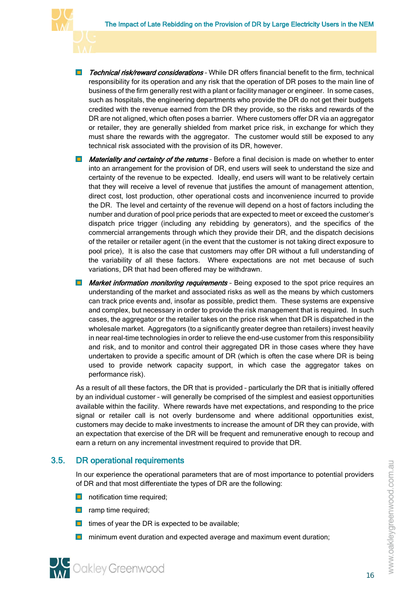

- **Technical risk/reward considerations** While DR offers financial benefit to the firm, technical responsibility for its operation and any risk that the operation of DR poses to the main line of business of the firm generally rest with a plant or facility manager or engineer. In some cases, such as hospitals, the engineering departments who provide the DR do not get their budgets credited with the revenue earned from the DR they provide, so the risks and rewards of the DR are not aligned, which often poses a barrier. Where customers offer DR via an aggregator or retailer, they are generally shielded from market price risk, in exchange for which they must share the rewards with the aggregator. The customer would still be exposed to any technical risk associated with the provision of its DR, however.
- **Materiality and certainty of the returns** Before a final decision is made on whether to enter into an arrangement for the provision of DR, end users will seek to understand the size and certainty of the revenue to be expected. Ideally, end users will want to be relatively certain that they will receive a level of revenue that justifies the amount of management attention, direct cost, lost production, other operational costs and inconvenience incurred to provide the DR. The level and certainty of the revenue will depend on a host of factors including the number and duration of pool price periods that are expected to meet or exceed the customer's dispatch price trigger (including any rebidding by generators), and the specifics of the commercial arrangements through which they provide their DR, and the dispatch decisions of the retailer or retailer agent (in the event that the customer is not taking direct exposure to pool price), It is also the case that customers may offer DR without a full understanding of the variability of all these factors. Where expectations are not met because of such variations, DR that had been offered may be withdrawn.
- **Market information monitoring requirements** Being exposed to the spot price requires an understanding of the market and associated risks as well as the means by which customers can track price events and, insofar as possible, predict them. These systems are expensive and complex, but necessary in order to provide the risk management that is required. In such cases, the aggregator or the retailer takes on the price risk when that DR is dispatched in the wholesale market. Aggregators (to a significantly greater degree than retailers) invest heavily in near real-time technologies in order to relieve the end-use customer from this responsibility and risk, and to monitor and control their aggregated DR in those cases where they have undertaken to provide a specific amount of DR (which is often the case where DR is being used to provide network capacity support, in which case the aggregator takes on performance risk).

As a result of all these factors, the DR that is provided – particularly the DR that is initially offered by an individual customer – will generally be comprised of the simplest and easiest opportunities available within the facility. Where rewards have met expectations, and responding to the price signal or retailer call is not overly burdensome and where additional opportunities exist, customers may decide to make investments to increase the amount of DR they can provide, with an expectation that exercise of the DR will be frequent and remunerative enough to recoup and earn a return on any incremental investment required to provide that DR.

## 3.5. DR operational requirements

<span id="page-19-0"></span>In our experience the operational parameters that are of most importance to potential providers of DR and that most differentiate the types of DR are the following:

- notification time required;
- **<u>n</u>** ramp time required;
- $\blacksquare$  times of year the DR is expected to be available;
- **n** minimum event duration and expected average and maximum event duration;

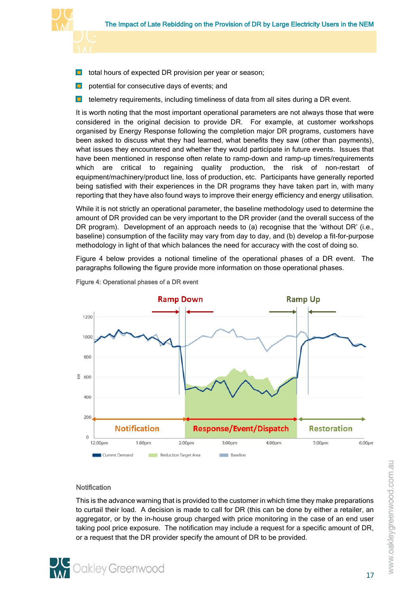

- $\blacksquare$ total hours of expected DR provision per year or season;
- potential for consecutive days of events; and  $\blacksquare$
- $\blacksquare$ telemetry requirements, including timeliness of data from all sites during a DR event.

It is worth noting that the most important operational parameters are not always those that were considered in the original decision to provide DR. For example, at customer workshops organised by Energy Response following the completion major DR programs, customers have been asked to discuss what they had learned, what benefits they saw (other than payments), what issues they encountered and whether they would participate in future events. Issues that have been mentioned in response often relate to ramp-down and ramp-up times/requirements which are critical to regaining quality production, the risk of non-restart of equipment/machinery/product line, loss of production, etc. Participants have generally reported being satisfied with their experiences in the DR programs they have taken part in, with many reporting that they have also found ways to improve their energy efficiency and energy utilisation.

While it is not strictly an operational parameter, the baseline methodology used to determine the amount of DR provided can be very important to the DR provider (and the overall success of the DR program). Development of an approach needs to (a) recognise that the 'without DR' (i.e., baseline) consumption of the facility may vary from day to day, and (b) develop a fit-for-purpose methodology in light of that which balances the need for accuracy with the cost of doing so.

[Figure 4](#page-20-0) below provides a notional timeline of the operational phases of a DR event. The paragraphs following the figure provide more information on those operational phases.



<span id="page-20-0"></span>

### **Notification**

This is the advance warning that is provided to the customer in which time they make preparations to curtail their load. A decision is made to call for DR (this can be done by either a retailer, an aggregator, or by the in-house group charged with price monitoring in the case of an end user taking pool price exposure. The notification may include a request for a specific amount of DR, or a request that the DR provider specify the amount of DR to be provided.

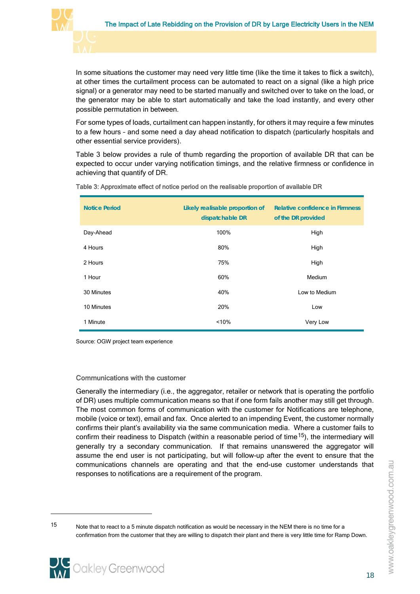

In some situations the customer may need very little time (like the time it takes to flick a switch), at other times the curtailment process can be automated to react on a signal (like a high price signal) or a generator may need to be started manually and switched over to take on the load, or the generator may be able to start automatically and take the load instantly, and every other possible permutation in between.

For some types of loads, curtailment can happen instantly, for others it may require a few minutes to a few hours – and some need a day ahead notification to dispatch (particularly hospitals and other essential service providers).

[Table 3](#page-21-0) below provides a rule of thumb regarding the proportion of available DR that can be expected to occur under varying notification timings, and the relative firmness or confidence in achieving that quantify of DR.

| <b>Notice Period</b> | Likely realisable proportion of<br>dispatchable DR | Relative confidence in Firmness<br>of the DR provided |
|----------------------|----------------------------------------------------|-------------------------------------------------------|
| Day-Ahead            | 100%                                               | High                                                  |
| 4 Hours              | 80%                                                | High                                                  |
| 2 Hours              | 75%                                                | High                                                  |
| 1 Hour               | 60%                                                | Medium                                                |
| 30 Minutes           | 40%                                                | Low to Medium                                         |
| 10 Minutes           | 20%                                                | Low                                                   |
| 1 Minute             | < 10%                                              | Very Low                                              |

#### <span id="page-21-0"></span>Table 3: Approximate effect of notice period on the realisable proportion of available DR

Source: OGW project team experience

#### Communications with the customer

Generally the intermediary (i.e., the aggregator, retailer or network that is operating the portfolio of DR) uses multiple communication means so that if one form fails another may still get through. The most common forms of communication with the customer for Notifications are telephone, mobile (voice or text), email and fax. Once alerted to an impending Event, the customer normally confirms their plant's availability via the same communication media. Where a customer fails to confirm their readiness to Dispatch (within a reasonable period of time<sup>[15](#page-21-1)</sup>), the intermediary will generally try a secondary communication. If that remains unanswered the aggregator will assume the end user is not participating, but will follow-up after the event to ensure that the communications channels are operating and that the end-use customer understands that responses to notifications are a requirement of the program.

<span id="page-21-1"></span>15 Note that to react to a 5 minute dispatch notification as would be necessary in the NEM there is no time for a confirmation from the customer that they are willing to dispatch their plant and there is very little time for Ramp Down.

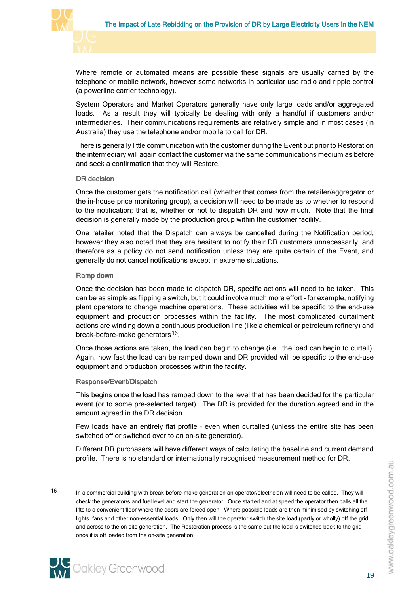

Where remote or automated means are possible these signals are usually carried by the telephone or mobile network, however some networks in particular use radio and ripple control (a powerline carrier technology).

System Operators and Market Operators generally have only large loads and/or aggregated loads. As a result they will typically be dealing with only a handful if customers and/or intermediaries. Their communications requirements are relatively simple and in most cases (in Australia) they use the telephone and/or mobile to call for DR.

There is generally little communication with the customer during the Event but prior to Restoration the intermediary will again contact the customer via the same communications medium as before and seek a confirmation that they will Restore.

#### DR decision

Once the customer gets the notification call (whether that comes from the retailer/aggregator or the in-house price monitoring group), a decision will need to be made as to whether to respond to the notification; that is, whether or not to dispatch DR and how much. Note that the final decision is generally made by the production group within the customer facility.

One retailer noted that the Dispatch can always be cancelled during the Notification period, however they also noted that they are hesitant to notify their DR customers unnecessarily, and therefore as a policy do not send notification unless they are quite certain of the Event, and generally do not cancel notifications except in extreme situations.

#### Ramp down

Once the decision has been made to dispatch DR, specific actions will need to be taken. This can be as simple as flipping a switch, but it could involve much more effort – for example, notifying plant operators to change machine operations. These activities will be specific to the end-use equipment and production processes within the facility. The most complicated curtailment actions are winding down a continuous production line (like a chemical or petroleum refinery) and break-before-make generators<sup>[16](#page-22-0)</sup>.

Once those actions are taken, the load can begin to change (i.e., the load can begin to curtail). Again, how fast the load can be ramped down and DR provided will be specific to the end-use equipment and production processes within the facility.

#### Response/Event/Dispatch

This begins once the load has ramped down to the level that has been decided for the particular event (or to some pre-selected target). The DR is provided for the duration agreed and in the amount agreed in the DR decision.

Few loads have an entirely flat profile – even when curtailed (unless the entire site has been switched off or switched over to an on-site generator).

Different DR purchasers will have different ways of calculating the baseline and current demand profile. There is no standard or internationally recognised measurement method for DR.

<span id="page-22-0"></span><sup>16</sup> In a commercial building with break-before-make generation an operator/electrician will need to be called. They will check the generator/s and fuel level and start the generator. Once started and at speed the operator then calls all the lifts to a convenient floor where the doors are forced open. Where possible loads are then minimised by switching off lights, fans and other non-essential loads. Only then will the operator switch the site load (partly or wholly) off the grid and across to the on-site generation. The Restoration process is the same but the load is switched back to the grid once it is off loaded from the on-site generation.



 $\overline{a}$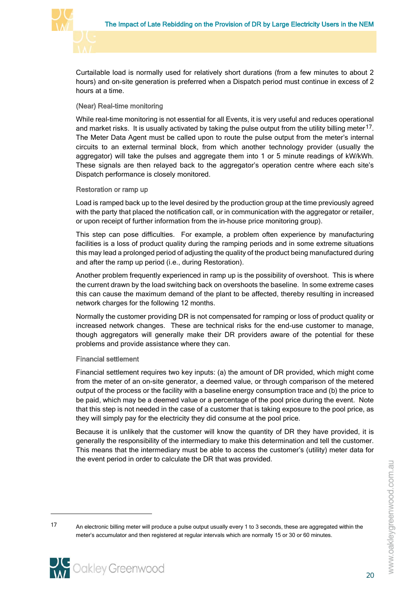

Curtailable load is normally used for relatively short durations (from a few minutes to about 2 hours) and on-site generation is preferred when a Dispatch period must continue in excess of 2 hours at a time.

#### (Near) Real-time monitoring

While real-time monitoring is not essential for all Events, it is very useful and reduces operational and market risks. It is usually activated by taking the pulse output from the utility billing meter<sup>[17](#page-23-0)</sup>. The Meter Data Agent must be called upon to route the pulse output from the meter's internal circuits to an external terminal block, from which another technology provider (usually the aggregator) will take the pulses and aggregate them into 1 or 5 minute readings of kW/kWh. These signals are then relayed back to the aggregator's operation centre where each site's Dispatch performance is closely monitored.

#### Restoration or ramp up

Load is ramped back up to the level desired by the production group at the time previously agreed with the party that placed the notification call, or in communication with the aggregator or retailer, or upon receipt of further information from the in-house price monitoring group).

This step can pose difficulties. For example, a problem often experience by manufacturing facilities is a loss of product quality during the ramping periods and in some extreme situations this may lead a prolonged period of adjusting the quality of the product being manufactured during and after the ramp up period (i.e., during Restoration).

Another problem frequently experienced in ramp up is the possibility of overshoot. This is where the current drawn by the load switching back on overshoots the baseline. In some extreme cases this can cause the maximum demand of the plant to be affected, thereby resulting in increased network charges for the following 12 months.

Normally the customer providing DR is not compensated for ramping or loss of product quality or increased network changes. These are technical risks for the end-use customer to manage, though aggregators will generally make their DR providers aware of the potential for these problems and provide assistance where they can.

#### Financial settlement

Financial settlement requires two key inputs: (a) the amount of DR provided, which might come from the meter of an on-site generator, a deemed value, or through comparison of the metered output of the process or the facility with a baseline energy consumption trace and (b) the price to be paid, which may be a deemed value or a percentage of the pool price during the event. Note that this step is not needed in the case of a customer that is taking exposure to the pool price, as they will simply pay for the electricity they did consume at the pool price.

Because it is unlikely that the customer will know the quantity of DR they have provided, it is generally the responsibility of the intermediary to make this determination and tell the customer. This means that the intermediary must be able to access the customer's (utility) meter data for the event period in order to calculate the DR that was provided.

<span id="page-23-0"></span>17 An electronic billing meter will produce a pulse output usually every 1 to 3 seconds, these are aggregated within the meter's accumulator and then registered at regular intervals which are normally 15 or 30 or 60 minutes.

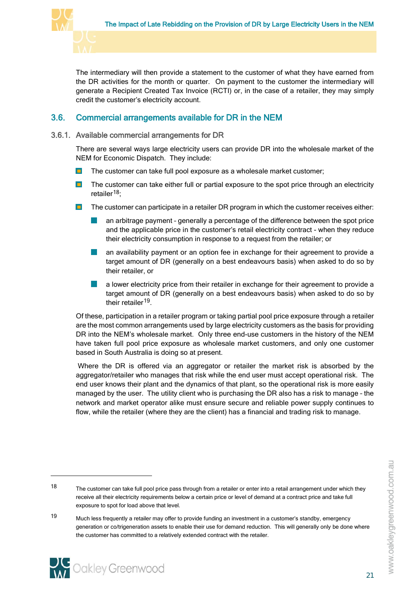

The intermediary will then provide a statement to the customer of what they have earned from the DR activities for the month or quarter. On payment to the customer the intermediary will generate a Recipient Created Tax Invoice (RCTI) or, in the case of a retailer, they may simply credit the customer's electricity account.

## <span id="page-24-0"></span>3.6. Commercial arrangements available for DR in the NEM

### 3.6.1. Available commercial arrangements for DR

<span id="page-24-1"></span>There are several ways large electricity users can provide DR into the wholesale market of the NEM for Economic Dispatch. They include:

- $\blacksquare$ The customer can take full pool exposure as a wholesale market customer;
- $\blacksquare$ The customer can take either full or partial exposure to the spot price through an electricity retailer<sup>[18](#page-24-2)</sup>;
- $\blacksquare$ The customer can participate in a retailer DR program in which the customer receives either:
	- an arbitrage payment generally a percentage of the difference between the spot price and the applicable price in the customer's retail electricity contract - when they reduce their electricity consumption in response to a request from the retailer; or
	- an availability payment or an option fee in exchange for their agreement to provide a target amount of DR (generally on a best endeavours basis) when asked to do so by their retailer, or
	- a lower electricity price from their retailer in exchange for their agreement to provide a target amount of DR (generally on a best endeavours basis) when asked to do so by their retailer<sup>19</sup>.

Of these, participation in a retailer program or taking partial pool price exposure through a retailer are the most common arrangements used by large electricity customers as the basis for providing DR into the NEM's wholesale market. Only three end-use customers in the history of the NEM have taken full pool price exposure as wholesale market customers, and only one customer based in South Australia is doing so at present.

Where the DR is offered via an aggregator or retailer the market risk is absorbed by the aggregator/retailer who manages that risk while the end user must accept operational risk. The end user knows their plant and the dynamics of that plant, so the operational risk is more easily managed by the user. The utility client who is purchasing the DR also has a risk to manage – the network and market operator alike must ensure secure and reliable power supply continues to flow, while the retailer (where they are the client) has a financial and trading risk to manage.

<span id="page-24-3"></span><span id="page-24-2"></span><sup>19</sup> Much less frequently a retailer may offer to provide funding an investment in a customer's standby, emergency generation or co/trigeneration assets to enable their use for demand reduction. This will generally only be done where the customer has committed to a relatively extended contract with the retailer.



<sup>18</sup> The customer can take full pool price pass through from a retailer or enter into a retail arrangement under which they receive all their electricity requirements below a certain price or level of demand at a contract price and take full exposure to spot for load above that level.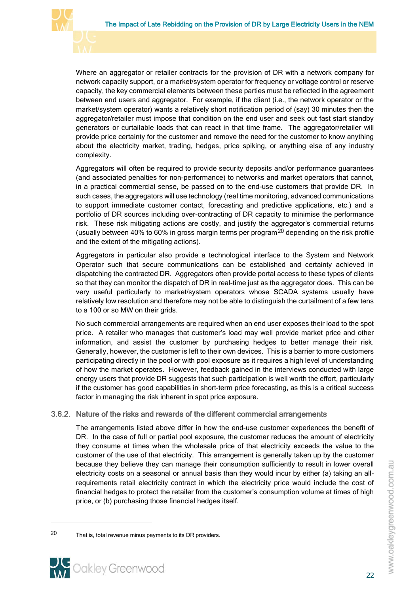

Where an aggregator or retailer contracts for the provision of DR with a network company for network capacity support, or a market/system operator for frequency or voltage control or reserve capacity, the key commercial elements between these parties must be reflected in the agreement between end users and aggregator. For example, if the client (i.e., the network operator or the market/system operator) wants a relatively short notification period of (say) 30 minutes then the aggregator/retailer must impose that condition on the end user and seek out fast start standby generators or curtailable loads that can react in that time frame. The aggregator/retailer will provide price certainty for the customer and remove the need for the customer to know anything about the electricity market, trading, hedges, price spiking, or anything else of any industry complexity.

Aggregators will often be required to provide security deposits and/or performance guarantees (and associated penalties for non-performance) to networks and market operators that cannot, in a practical commercial sense, be passed on to the end-use customers that provide DR. In such cases, the aggregators will use technology (real time monitoring, advanced communications to support immediate customer contact, forecasting and predictive applications, etc.) and a portfolio of DR sources including over-contracting of DR capacity to minimise the performance risk. These risk mitigating actions are costly, and justify the aggregator's commercial returns (usually between 40% to 60% in gross margin terms per program<sup>[20](#page-25-1)</sup> depending on the risk profile and the extent of the mitigating actions).

Aggregators in particular also provide a technological interface to the System and Network Operator such that secure communications can be established and certainty achieved in dispatching the contracted DR. Aggregators often provide portal access to these types of clients so that they can monitor the dispatch of DR in real-time just as the aggregator does. This can be very useful particularly to market/system operators whose SCADA systems usually have relatively low resolution and therefore may not be able to distinguish the curtailment of a few tens to a 100 or so MW on their grids.

No such commercial arrangements are required when an end user exposes their load to the spot price. A retailer who manages that customer's load may well provide market price and other information, and assist the customer by purchasing hedges to better manage their risk. Generally, however, the customer is left to their own devices. This is a barrier to more customers participating directly in the pool or with pool exposure as it requires a high level of understanding of how the market operates. However, feedback gained in the interviews conducted with large energy users that provide DR suggests that such participation is well worth the effort, particularly if the customer has good capabilities in short-term price forecasting, as this is a critical success factor in managing the risk inherent in spot price exposure.

### 3.6.2. Nature of the risks and rewards of the different commercial arrangements

<span id="page-25-0"></span>The arrangements listed above differ in how the end-use customer experiences the benefit of DR. In the case of full or partial pool exposure, the customer reduces the amount of electricity they consume at times when the wholesale price of that electricity exceeds the value to the customer of the use of that electricity. This arrangement is generally taken up by the customer because they believe they can manage their consumption sufficiently to result in lower overall electricity costs on a seasonal or annual basis than they would incur by either (a) taking an allrequirements retail electricity contract in which the electricity price would include the cost of financial hedges to protect the retailer from the customer's consumption volume at times of high price, or (b) purchasing those financial hedges itself.

<span id="page-25-1"></span><sup>20</sup> That is, total revenue minus payments to its DR providers.

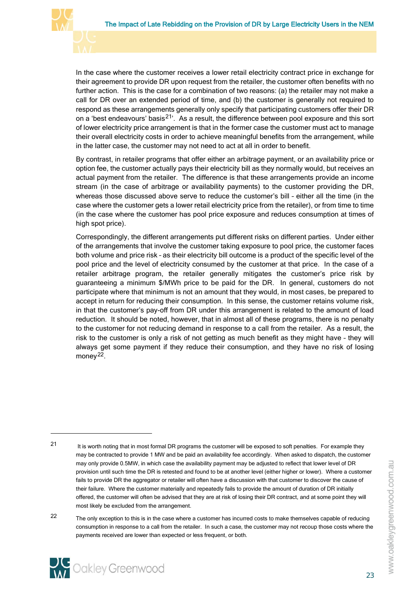

In the case where the customer receives a lower retail electricity contract price in exchange for their agreement to provide DR upon request from the retailer, the customer often benefits with no further action. This is the case for a combination of two reasons: (a) the retailer may not make a call for DR over an extended period of time, and (b) the customer is generally not required to respond as these arrangements generally only specify that participating customers offer their DR on a 'best endeavours' basis<sup>21</sup>'. As a result, the difference between pool exposure and this sort of lower electricity price arrangement is that in the former case the customer must act to manage their overall electricity costs in order to achieve meaningful benefits from the arrangement, while in the latter case, the customer may not need to act at all in order to benefit.

By contrast, in retailer programs that offer either an arbitrage payment, or an availability price or option fee, the customer actually pays their electricity bill as they normally would, but receives an actual payment from the retailer. The difference is that these arrangements provide an income stream (in the case of arbitrage or availability payments) to the customer providing the DR, whereas those discussed above serve to reduce the customer's bill – either all the time (in the case where the customer gets a lower retail electricity price from the retailer), or from time to time (in the case where the customer has pool price exposure and reduces consumption at times of high spot price).

Correspondingly, the different arrangements put different risks on different parties. Under either of the arrangements that involve the customer taking exposure to pool price, the customer faces both volume and price risk – as their electricity bill outcome is a product of the specific level of the pool price and the level of electricity consumed by the customer at that price. In the case of a retailer arbitrage program, the retailer generally mitigates the customer's price risk by guaranteeing a minimum \$/MWh price to be paid for the DR. In general, customers do not participate where that minimum is not an amount that they would, in most cases, be prepared to accept in return for reducing their consumption. In this sense, the customer retains volume risk, in that the customer's pay-off from DR under this arrangement is related to the amount of load reduction. It should be noted, however, that in almost all of these programs, there is no penalty to the customer for not reducing demand in response to a call from the retailer. As a result, the risk to the customer is only a risk of not getting as much benefit as they might have – they will always get some payment if they reduce their consumption, and they have no risk of losing money<sup>[22](#page-26-1)</sup>.

<span id="page-26-0"></span><sup>21</sup> It is worth noting that in most formal DR programs the customer will be exposed to soft penalties. For example they may be contracted to provide 1 MW and be paid an availability fee accordingly. When asked to dispatch, the customer may only provide 0.5MW, in which case the availability payment may be adjusted to reflect that lower level of DR provision until such time the DR is retested and found to be at another level (either higher or lower). Where a customer fails to provide DR the aggregator or retailer will often have a discussion with that customer to discover the cause of their failure. Where the customer materially and repeatedly fails to provide the amount of duration of DR initially offered, the customer will often be advised that they are at risk of losing their DR contract, and at some point they will most likely be excluded from the arrangement.

<span id="page-26-1"></span><sup>22</sup> The only exception to this is in the case where a customer has incurred costs to make themselves capable of reducing consumption in response to a call from the retailer. In such a case, the customer may not recoup those costs where the payments received are lower than expected or less frequent, or both.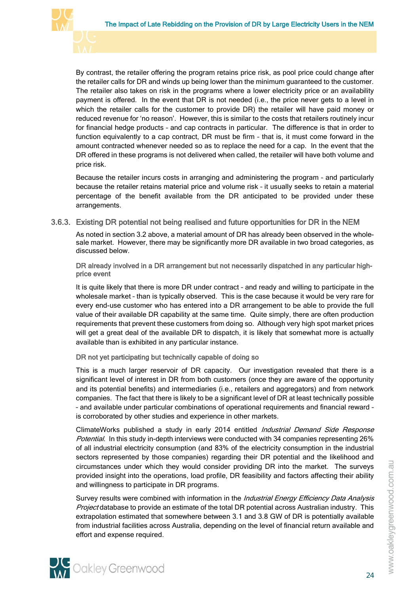

By contrast, the retailer offering the program retains price risk, as pool price could change after the retailer calls for DR and winds up being lower than the minimum guaranteed to the customer. The retailer also takes on risk in the programs where a lower electricity price or an availability payment is offered. In the event that DR is not needed (i.e., the price never gets to a level in which the retailer calls for the customer to provide DR) the retailer will have paid money or reduced revenue for 'no reason'. However, this is similar to the costs that retailers routinely incur for financial hedge products – and cap contracts in particular. The difference is that in order to function equivalently to a cap contract, DR must be firm – that is, it must come forward in the amount contracted whenever needed so as to replace the need for a cap. In the event that the DR offered in these programs is not delivered when called, the retailer will have both volume and price risk.

Because the retailer incurs costs in arranging and administering the program – and particularly because the retailer retains material price and volume risk – it usually seeks to retain a material percentage of the benefit available from the DR anticipated to be provided under these arrangements.

#### 3.6.3. Existing DR potential not being realised and future opportunities for DR in the NEM

<span id="page-27-0"></span>As noted in section 3.2 above, a material amount of DR has already been observed in the wholesale market. However, there may be significantly more DR available in two broad categories, as discussed below.

DR already involved in a DR arrangement but not necessarily dispatched in any particular highprice event

It is quite likely that there is more DR under contract – and ready and willing to participate in the wholesale market – than is typically observed. This is the case because it would be very rare for every end-use customer who has entered into a DR arrangement to be able to provide the full value of their available DR capability at the same time. Quite simply, there are often production requirements that prevent these customers from doing so. Although very high spot market prices will get a great deal of the available DR to dispatch, it is likely that somewhat more is actually available than is exhibited in any particular instance.

#### DR not yet participating but technically capable of doing so

This is a much larger reservoir of DR capacity. Our investigation revealed that there is a significant level of interest in DR from both customers (once they are aware of the opportunity and its potential benefits) and intermediaries (i.e., retailers and aggregators) and from network companies. The fact that there is likely to be a significant level of DR at least technically possible – and available under particular combinations of operational requirements and financial reward – is corroborated by other studies and experience in other markets.

ClimateWorks published a study in early 2014 entitled *Industrial Demand Side Response* Potential. In this study in-depth interviews were conducted with 34 companies representing 26% of all industrial electricity consumption (and 83% of the electricity consumption in the industrial sectors represented by those companies) regarding their DR potential and the likelihood and circumstances under which they would consider providing DR into the market. The surveys provided insight into the operations, load profile, DR feasibility and factors affecting their ability and willingness to participate in DR programs.

Survey results were combined with information in the *Industrial Energy Efficiency Data Analysis* Project database to provide an estimate of the total DR potential across Australian industry. This extrapolation estimated that somewhere between 3.1 and 3.8 GW of DR is potentially available from industrial facilities across Australia, depending on the level of financial return available and effort and expense required.

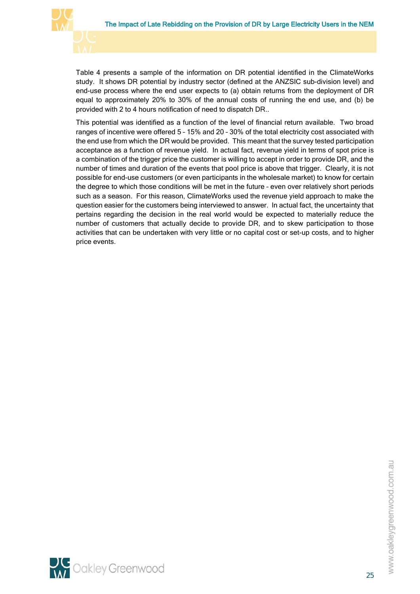

[Table 4](#page-29-0) presents a sample of the information on DR potential identified in the ClimateWorks study. It shows DR potential by industry sector (defined at the ANZSIC sub-division level) and end-use process where the end user expects to (a) obtain returns from the deployment of DR equal to approximately 20% to 30% of the annual costs of running the end use, and (b) be provided with 2 to 4 hours notification of need to dispatch DR..

This potential was identified as a function of the level of financial return available. Two broad ranges of incentive were offered 5 – 15% and 20 – 30% of the total electricity cost associated with the end use from which the DR would be provided. This meant that the survey tested participation acceptance as a function of revenue yield. In actual fact, revenue yield in terms of spot price is a combination of the trigger price the customer is willing to accept in order to provide DR, and the number of times and duration of the events that pool price is above that trigger. Clearly, it is not possible for end-use customers (or even participants in the wholesale market) to know for certain the degree to which those conditions will be met in the future – even over relatively short periods such as a season. For this reason, ClimateWorks used the revenue yield approach to make the question easier for the customers being interviewed to answer. In actual fact, the uncertainty that pertains regarding the decision in the real world would be expected to materially reduce the number of customers that actually decide to provide DR, and to skew participation to those activities that can be undertaken with very little or no capital cost or set-up costs, and to higher price events.

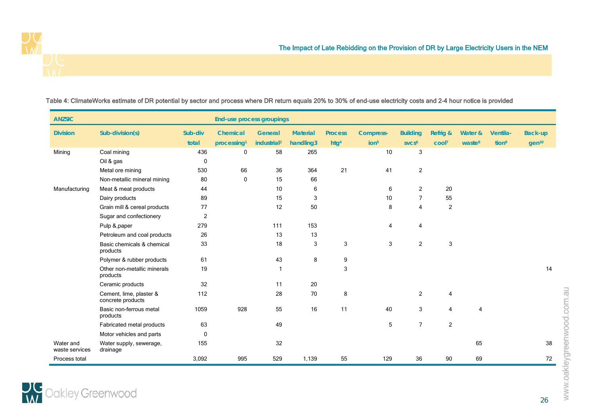

### <span id="page-29-1"></span>Table 4: ClimateWorks estimate of DR potential by sector and process where DR return equals 20% to 30% of end-use electricity costs and 2-4 hour notice is provided

<span id="page-29-0"></span>

| <b>ANZSIC</b>               |                                              |                | <b>End-use process groupings</b> |                         |                 |                  |                  |                   |                     |                    |                   |                   |
|-----------------------------|----------------------------------------------|----------------|----------------------------------|-------------------------|-----------------|------------------|------------------|-------------------|---------------------|--------------------|-------------------|-------------------|
| <b>Division</b>             | Sub-division(s)                              | Sub-div        | <b>Chemical</b>                  | <b>General</b>          | <b>Material</b> | <b>Process</b>   | <b>Compress-</b> | <b>Building</b>   | <b>Refrig &amp;</b> | Water &            | Ventila-          | <b>Back-up</b>    |
|                             |                                              | total          | processing <sup>1</sup>          | industrial <sup>2</sup> | handling3       | htg <sup>4</sup> | ion <sup>5</sup> | SVCS <sup>6</sup> | cool?               | waste <sup>8</sup> | tion <sup>9</sup> | gen <sup>10</sup> |
| Mining                      | Coal mining                                  | 436            | 0                                | 58                      | 265             |                  | 10               | 3                 |                     |                    |                   |                   |
|                             | Oil & gas                                    | 0              |                                  |                         |                 |                  |                  |                   |                     |                    |                   |                   |
|                             | Metal ore mining                             | 530            | 66                               | 36                      | 364             | 21               | 41               | $\overline{c}$    |                     |                    |                   |                   |
|                             | Non-metallic mineral mining                  | 80             | 0                                | 15                      | 66              |                  |                  |                   |                     |                    |                   |                   |
| Manufacturing               | Meat & meat products                         | 44             |                                  | 10                      | 6               |                  | 6                | 2                 | 20                  |                    |                   |                   |
|                             | Dairy products                               | 89             |                                  | 15                      | 3               |                  | 10               | 7                 | 55                  |                    |                   |                   |
|                             | Grain mill & cereal products                 | 77             |                                  | 12                      | 50              |                  | 8                | 4                 | 2                   |                    |                   |                   |
|                             | Sugar and confectionery                      | $\overline{2}$ |                                  |                         |                 |                  |                  |                   |                     |                    |                   |                   |
|                             | Pulp &, paper                                | 279            |                                  | 111                     | 153             |                  | 4                | 4                 |                     |                    |                   |                   |
|                             | Petroleum and coal products                  | 26             |                                  | 13                      | 13              |                  |                  |                   |                     |                    |                   |                   |
|                             | Basic chemicals & chemical<br>products       | 33             |                                  | 18                      | 3               | 3                | 3                | $\overline{2}$    | 3                   |                    |                   |                   |
|                             | Polymer & rubber products                    | 61             |                                  | 43                      | 8               | 9                |                  |                   |                     |                    |                   |                   |
|                             | Other non-metallic minerals<br>products      | 19             |                                  | -1                      |                 | 3                |                  |                   |                     |                    |                   | 14                |
|                             | Ceramic products                             | 32             |                                  | 11                      | 20              |                  |                  |                   |                     |                    |                   |                   |
|                             | Cement, lime, plaster &<br>concrete products | 112            |                                  | 28                      | $70\,$          | 8                |                  | $\overline{2}$    | $\overline{4}$      |                    |                   |                   |
|                             | Basic non-ferrous metal<br>products          | 1059           | 928                              | 55                      | 16              | 11               | 40               | 3                 | 4                   | $\overline{4}$     |                   |                   |
|                             | Fabricated metal products                    | 63             |                                  | 49                      |                 |                  | $\sqrt{5}$       | $\overline{7}$    | 2                   |                    |                   |                   |
|                             | Motor vehicles and parts                     | 0              |                                  |                         |                 |                  |                  |                   |                     |                    |                   |                   |
| Water and<br>waste services | Water supply, sewerage,<br>drainage          | 155            |                                  | 32                      |                 |                  |                  |                   |                     | 65                 |                   | 38                |
| Process total               |                                              | 3,092          | 995                              | 529                     | 1,139           | 55               | 129              | 36                | 90                  | 69                 |                   | 72                |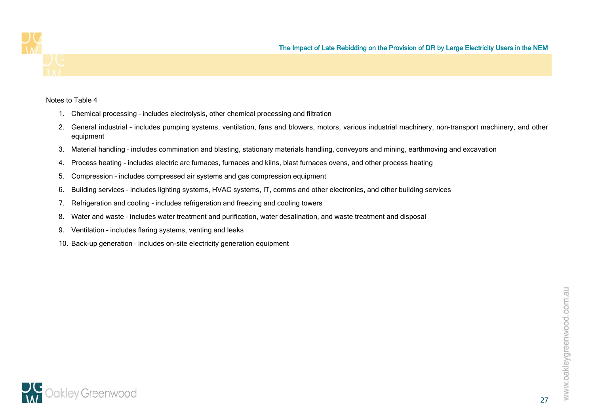

#### Notes to [Table 4](#page-29-1)

- 1. Chemical processing includes electrolysis, other chemical processing and filtration
- 2. General industrial includes pumping systems, ventilation, fans and blowers, motors, various industrial machinery, non-transport machinery, and other equipment
- 3. Material handling includes commination and blasting, stationary materials handling, conveyors and mining, earthmoving and excavation
- 4. Process heating includes electric arc furnaces, furnaces and kilns, blast furnaces ovens, and other process heating
- 5. Compression includes compressed air systems and gas compression equipment
- 6. Building services includes lighting systems, HVAC systems, IT, comms and other electronics, and other building services
- 7. Refrigeration and cooling includes refrigeration and freezing and cooling towers
- 8. Water and waste includes water treatment and purification, water desalination, and waste treatment and disposal
- 9. Ventilation includes flaring systems, venting and leaks
- 10. Back-up generation includes on-site electricity generation equipment

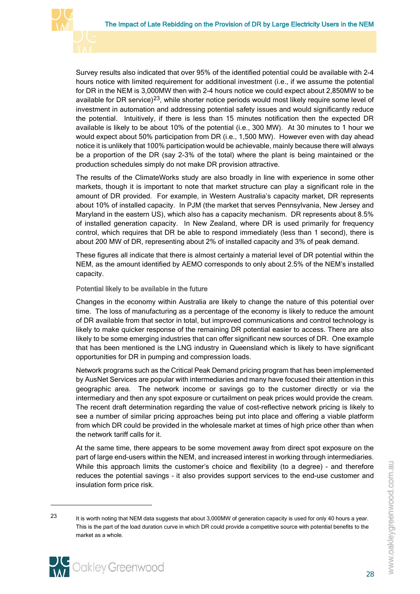

Survey results also indicated that over 95% of the identified potential could be available with 2-4 hours notice with limited requirement for additional investment (i.e., if we assume the potential for DR in the NEM is 3,000MW then with 2-4 hours notice we could expect about 2,850MW to be available for DR service) $23$ , while shorter notice periods would most likely require some level of investment in automation and addressing potential safety issues and would significantly reduce the potential. Intuitively, if there is less than 15 minutes notification then the expected DR available is likely to be about 10% of the potential (i.e., 300 MW). At 30 minutes to 1 hour we would expect about 50% participation from DR (i.e., 1,500 MW). However even with day ahead notice it is unlikely that 100% participation would be achievable, mainly because there will always be a proportion of the DR (say 2-3% of the total) where the plant is being maintained or the production schedules simply do not make DR provision attractive.

The results of the ClimateWorks study are also broadly in line with experience in some other markets, though it is important to note that market structure can play a significant role in the amount of DR provided. For example, in Western Australia's capacity market, DR represents about 10% of installed capacity. In PJM (the market that serves Pennsylvania, New Jersey and Maryland in the eastern US), which also has a capacity mechanism. DR represents about 8.5% of installed generation capacity. In New Zealand, where DR is used primarily for frequency control, which requires that DR be able to respond immediately (less than 1 second), there is about 200 MW of DR, representing about 2% of installed capacity and 3% of peak demand.

These figures all indicate that there is almost certainly a material level of DR potential within the NEM, as the amount identified by AEMO corresponds to only about 2.5% of the NEM's installed capacity.

#### Potential likely to be available in the future

Changes in the economy within Australia are likely to change the nature of this potential over time. The loss of manufacturing as a percentage of the economy is likely to reduce the amount of DR available from that sector in total, but improved communications and control technology is likely to make quicker response of the remaining DR potential easier to access. There are also likely to be some emerging industries that can offer significant new sources of DR. One example that has been mentioned is the LNG industry in Queensland which is likely to have significant opportunities for DR in pumping and compression loads.

Network programs such as the Critical Peak Demand pricing program that has been implemented by AusNet Services are popular with intermediaries and many have focused their attention in this geographic area. The network income or savings go to the customer directly or via the intermediary and then any spot exposure or curtailment on peak prices would provide the cream. The recent draft determination regarding the value of cost-reflective network pricing is likely to see a number of similar pricing approaches being put into place and offering a viable platform from which DR could be provided in the wholesale market at times of high price other than when the network tariff calls for it.

At the same time, there appears to be some movement away from direct spot exposure on the part of large end-users within the NEM, and increased interest in working through intermediaries. While this approach limits the customer's choice and flexibility (to a degree) – and therefore reduces the potential savings – it also provides support services to the end-use customer and insulation form price risk.

<span id="page-31-0"></span><sup>23</sup> It is worth noting that NEM data suggests that about 3,000MW of generation capacity is used for only 40 hours a year. This is the part of the load duration curve in which DR could provide a competitive source with potential benefits to the market as a whole.

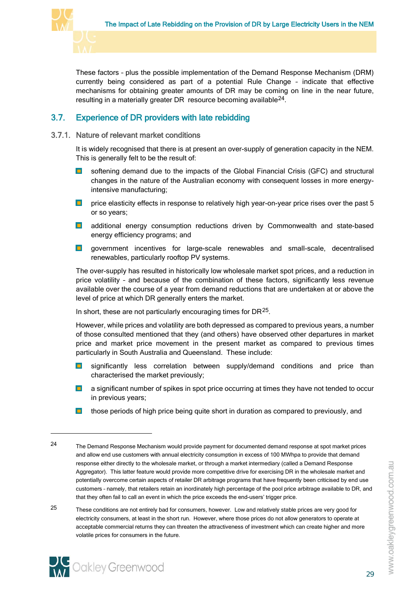

These factors – plus the possible implementation of the Demand Response Mechanism (DRM) currently being considered as part of a potential Rule Change – indicate that effective mechanisms for obtaining greater amounts of DR may be coming on line in the near future, resulting in a materially greater DR resource becoming available<sup>[24](#page-32-2)</sup>.

## <span id="page-32-0"></span>3.7. Experience of DR providers with late rebidding

#### 3.7.1. Nature of relevant market conditions

<span id="page-32-1"></span>It is widely recognised that there is at present an over-supply of generation capacity in the NEM. This is generally felt to be the result of:

- $\blacksquare$ softening demand due to the impacts of the Global Financial Crisis (GFC) and structural changes in the nature of the Australian economy with consequent losses in more energyintensive manufacturing;
- $\blacksquare$ price elasticity effects in response to relatively high year-on-year price rises over the past 5 or so years;
- **D** additional energy consumption reductions driven by Commonwealth and state-based energy efficiency programs; and
- government incentives for large-scale renewables and small-scale, decentralised  $\blacksquare$ renewables, particularly rooftop PV systems.

The over-supply has resulted in historically low wholesale market spot prices, and a reduction in price volatility – and because of the combination of these factors, significantly less revenue available over the course of a year from demand reductions that are undertaken at or above the level of price at which DR generally enters the market.

In short, these are not particularly encouraging times for  $DR<sup>25</sup>$ .

However, while prices and volatility are both depressed as compared to previous years, a number of those consulted mentioned that they (and others) have observed other departures in market price and market price movement in the present market as compared to previous times particularly in South Australia and Queensland. These include:

- $\blacksquare$ significantly less correlation between supply/demand conditions and price than characterised the market previously;
- **D** a significant number of spikes in spot price occurring at times they have not tended to occur in previous years;
- $\blacksquare$ those periods of high price being quite short in duration as compared to previously, and

<span id="page-32-3"></span><sup>25</sup> These conditions are not entirely bad for consumers, however. Low and relatively stable prices are very good for electricity consumers, at least in the short run. However, where those prices do not allow generators to operate at acceptable commercial returns they can threaten the attractiveness of investment which can create higher and more volatile prices for consumers in the future.



<span id="page-32-2"></span><sup>24</sup> The Demand Response Mechanism would provide payment for documented demand response at spot market prices and allow end use customers with annual electricity consumption in excess of 100 MWhpa to provide that demand response either directly to the wholesale market, or through a market intermediary (called a Demand Response Aggregator). This latter feature would provide more competitive drive for exercising DR in the wholesale market and potentially overcome certain aspects of retailer DR arbitrage programs that have frequently been criticised by end use customers – namely, that retailers retain an inordinately high percentage of the pool price arbitrage available to DR, and that they often fail to call an event in which the price exceeds the end-users' trigger price.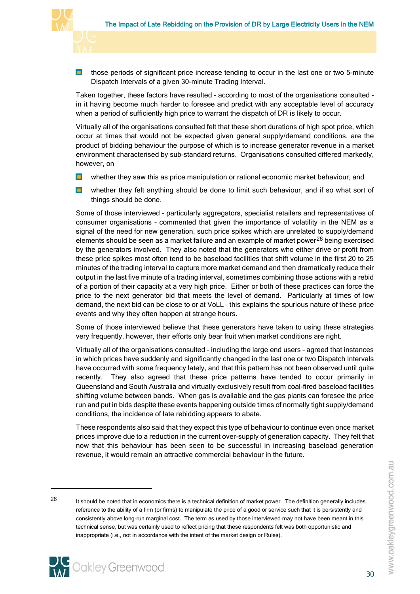

 $\blacksquare$ those periods of significant price increase tending to occur in the last one or two 5-minute Dispatch Intervals of a given 30-minute Trading Interval.

Taken together, these factors have resulted – according to most of the organisations consulted – in it having become much harder to foresee and predict with any acceptable level of accuracy when a period of sufficiently high price to warrant the dispatch of DR is likely to occur.

Virtually all of the organisations consulted felt that these short durations of high spot price, which occur at times that would not be expected given general supply/demand conditions, are the product of bidding behaviour the purpose of which is to increase generator revenue in a market environment characterised by sub-standard returns. Organisations consulted differed markedly, however, on

- $\blacksquare$ whether they saw this as price manipulation or rational economic market behaviour, and
- $\blacksquare$ whether they felt anything should be done to limit such behaviour, and if so what sort of things should be done.

Some of those interviewed – particularly aggregators, specialist retailers and representatives of consumer organisations – commented that given the importance of volatility in the NEM as a signal of the need for new generation, such price spikes which are unrelated to supply/demand elements should be seen as a market failure and an example of market power $^{26}$  $^{26}$  $^{26}$  being exercised by the generators involved. They also noted that the generators who either drive or profit from these price spikes most often tend to be baseload facilities that shift volume in the first 20 to 25 minutes of the trading interval to capture more market demand and then dramatically reduce their output in the last five minute of a trading interval, sometimes combining those actions with a rebid of a portion of their capacity at a very high price. Either or both of these practices can force the price to the next generator bid that meets the level of demand. Particularly at times of low demand, the next bid can be close to or at VoLL – this explains the spurious nature of these price events and why they often happen at strange hours.

Some of those interviewed believe that these generators have taken to using these strategies very frequently, however, their efforts only bear fruit when market conditions are right.

Virtually all of the organisations consulted – including the large end users – agreed that instances in which prices have suddenly and significantly changed in the last one or two Dispatch Intervals have occurred with some frequency lately, and that this pattern has not been observed until quite recently. They also agreed that these price patterns have tended to occur primarily in Queensland and South Australia and virtually exclusively result from coal-fired baseload facilities shifting volume between bands. When gas is available and the gas plants can foresee the price run and put in bids despite these events happening outside times of normally tight supply/demand conditions, the incidence of late rebidding appears to abate.

These respondents also said that they expect this type of behaviour to continue even once market prices improve due to a reduction in the current over-supply of generation capacity. They felt that now that this behaviour has been seen to be successful in increasing baseload generation revenue, it would remain an attractive commercial behaviour in the future.

<span id="page-33-0"></span><sup>26</sup> It should be noted that in economics there is a technical definition of market power. The definition generally includes reference to the ability of a firm (or firms) to manipulate the price of a good or service such that it is persistently and consistently above long-run marginal cost. The term as used by those interviewed may not have been meant in this technical sense, but was certainly used to reflect pricing that these respondents felt was both opportunistic and inappropriate (i.e., not in accordance with the intent of the market design or Rules).



 $\overline{a}$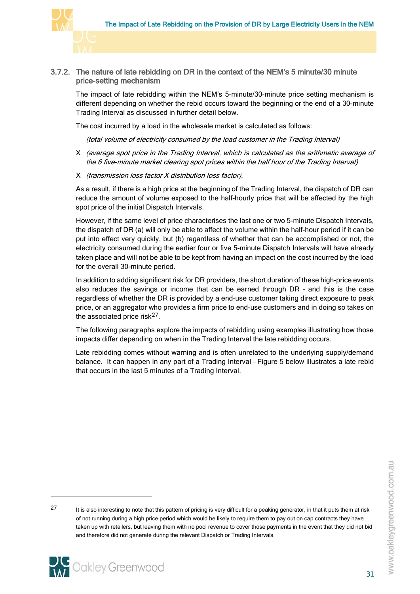

#### 3.7.2. The nature of late rebidding on DR in the context of the NEM's 5 minute/30 minute price-setting mechanism

<span id="page-34-0"></span>The impact of late rebidding within the NEM's 5-minute/30-minute price setting mechanism is different depending on whether the rebid occurs toward the beginning or the end of a 30-minute Trading Interval as discussed in further detail below.

The cost incurred by a load in the wholesale market is calculated as follows:

(total volume of electricity consumed by the load customer in the Trading Interval)

- X (average spot price in the Trading Interval, which is calculated as the arithmetic average of the 6 five-minute market clearing spot prices within the half hour of the Trading Interval)
- X (transmission loss factor X distribution loss factor).

As a result, if there is a high price at the beginning of the Trading Interval, the dispatch of DR can reduce the amount of volume exposed to the half-hourly price that will be affected by the high spot price of the initial Dispatch Intervals.

However, if the same level of price characterises the last one or two 5-minute Dispatch Intervals, the dispatch of DR (a) will only be able to affect the volume within the half-hour period if it can be put into effect very quickly, but (b) regardless of whether that can be accomplished or not, the electricity consumed during the earlier four or five 5-minute Dispatch Intervals will have already taken place and will not be able to be kept from having an impact on the cost incurred by the load for the overall 30-minute period.

In addition to adding significant risk for DR providers, the short duration of these high-price events also reduces the savings or income that can be earned through DR – and this is the case regardless of whether the DR is provided by a end-use customer taking direct exposure to peak price, or an aggregator who provides a firm price to end-use customers and in doing so takes on the associated price risk $^{27}$  $^{27}$  $^{27}$ .

The following paragraphs explore the impacts of rebidding using examples illustrating how those impacts differ depending on when in the Trading Interval the late rebidding occurs.

Late rebidding comes without warning and is often unrelated to the underlying supply/demand balance. It can happen in any part of a Trading Interval – [Figure 5](#page-35-1) below illustrates a late rebid that occurs in the last 5 minutes of a Trading Interval.

www.oakleygreenwood.com.au

<span id="page-34-1"></span><sup>27</sup> It is also interesting to note that this pattern of pricing is very difficult for a peaking generator, in that it puts them at risk of not running during a high price period which would be likely to require them to pay out on cap contracts they have taken up with retailers, but leaving them with no pool revenue to cover those payments in the event that they did not bid and therefore did not generate during the relevant Dispatch or Trading Intervals.

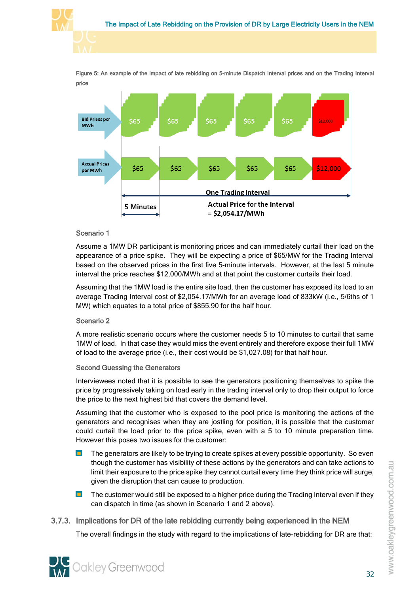

<span id="page-35-1"></span>Figure 5: An example of the impact of late rebidding on 5-minute Dispatch Interval prices and on the Trading Interval price

#### Scenario 1

Assume a 1MW DR participant is monitoring prices and can immediately curtail their load on the appearance of a price spike. They will be expecting a price of \$65/MW for the Trading Interval based on the observed prices in the first five 5-minute intervals. However, at the last 5 minute interval the price reaches \$12,000/MWh and at that point the customer curtails their load.

Assuming that the 1MW load is the entire site load, then the customer has exposed its load to an average Trading Interval cost of \$2,054.17/MWh for an average load of 833kW (i.e., 5/6ths of 1 MW) which equates to a total price of \$855.90 for the half hour.

#### Scenario 2

A more realistic scenario occurs where the customer needs 5 to 10 minutes to curtail that same 1MW of load. In that case they would miss the event entirely and therefore expose their full 1MW of load to the average price (i.e., their cost would be \$1,027.08) for that half hour.

#### Second Guessing the Generators

Interviewees noted that it is possible to see the generators positioning themselves to spike the price by progressively taking on load early in the trading interval only to drop their output to force the price to the next highest bid that covers the demand level.

Assuming that the customer who is exposed to the pool price is monitoring the actions of the generators and recognises when they are jostling for position, it is possible that the customer could curtail the load prior to the price spike, even with a 5 to 10 minute preparation time. However this poses two issues for the customer:

- $\blacksquare$ The generators are likely to be trying to create spikes at every possible opportunity. So even though the customer has visibility of these actions by the generators and can take actions to limit their exposure to the price spike they cannot curtail every time they think price will surge, given the disruption that can cause to production.
- $\blacksquare$ The customer would still be exposed to a higher price during the Trading Interval even if they can dispatch in time (as shown in Scenario 1 and 2 above).

#### 3.7.3. Implications for DR of the late rebidding currently being experienced in the NEM

<span id="page-35-0"></span>The overall findings in the study with regard to the implications of late-rebidding for DR are that:

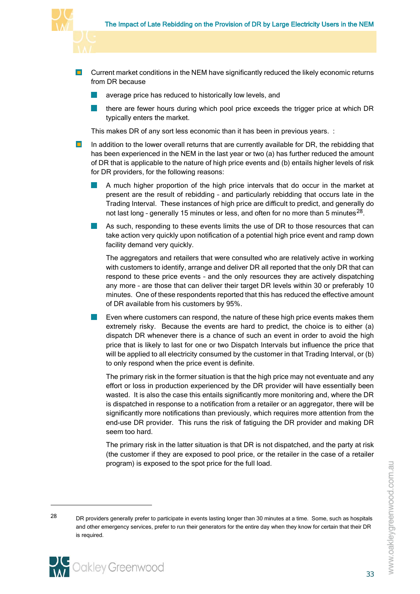

- $\blacksquare$ Current market conditions in the NEM have significantly reduced the likely economic returns from DR because
	- average price has reduced to historically low levels, and
	- l a l there are fewer hours during which pool price exceeds the trigger price at which DR typically enters the market.

This makes DR of any sort less economic than it has been in previous years. :

- $\blacksquare$ In addition to the lower overall returns that are currently available for DR, the rebidding that has been experienced in the NEM in the last year or two (a) has further reduced the amount of DR that is applicable to the nature of high price events and (b) entails higher levels of risk for DR providers, for the following reasons:
	- A much higher proportion of the high price intervals that do occur in the market at present are the result of rebidding – and particularly rebidding that occurs late in the Trading Interval. These instances of high price are difficult to predict, and generally do not last long - generally 15 minutes or less, and often for no more than 5 minutes<sup>28</sup>.
	- As such, responding to these events limits the use of DR to those resources that can take action very quickly upon notification of a potential high price event and ramp down facility demand very quickly.

The aggregators and retailers that were consulted who are relatively active in working with customers to identify, arrange and deliver DR all reported that the only DR that can respond to these price events – and the only resources they are actively dispatching any more – are those that can deliver their target DR levels within 30 or preferably 10 minutes. One of these respondents reported that this has reduced the effective amount of DR available from his customers by 95%.

Even where customers can respond, the nature of these high price events makes them extremely risky. Because the events are hard to predict, the choice is to either (a) dispatch DR whenever there is a chance of such an event in order to avoid the high price that is likely to last for one or two Dispatch Intervals but influence the price that will be applied to all electricity consumed by the customer in that Trading Interval, or (b) to only respond when the price event is definite.

The primary risk in the former situation is that the high price may not eventuate and any effort or loss in production experienced by the DR provider will have essentially been wasted. It is also the case this entails significantly more monitoring and, where the DR is dispatched in response to a notification from a retailer or an aggregator, there will be significantly more notifications than previously, which requires more attention from the end-use DR provider. This runs the risk of fatiguing the DR provider and making DR seem too hard.

The primary risk in the latter situation is that DR is not dispatched, and the party at risk (the customer if they are exposed to pool price, or the retailer in the case of a retailer program) is exposed to the spot price for the full load.

<span id="page-36-0"></span><sup>&</sup>lt;sup>28</sup> DR providers generally prefer to participate in events lasting longer than 30 minutes at a time. Some, such as hospitals and other emergency services, prefer to run their generators for the entire day when they know for certain that their DR is required.

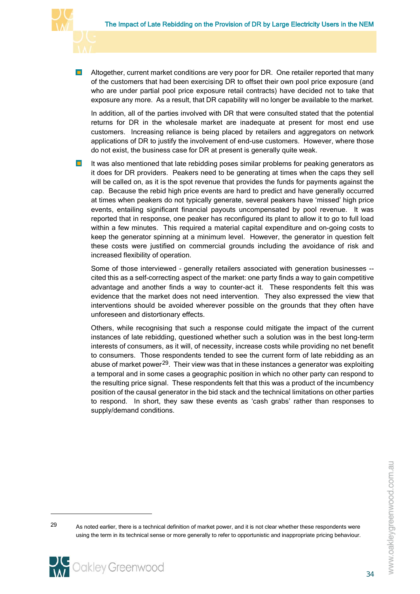

 $\blacksquare$ Altogether, current market conditions are very poor for DR. One retailer reported that many of the customers that had been exercising DR to offset their own pool price exposure (and who are under partial pool price exposure retail contracts) have decided not to take that exposure any more. As a result, that DR capability will no longer be available to the market.

In addition, all of the parties involved with DR that were consulted stated that the potential returns for DR in the wholesale market are inadequate at present for most end use customers. Increasing reliance is being placed by retailers and aggregators on network applications of DR to justify the involvement of end-use customers. However, where those do not exist, the business case for DR at present is generally quite weak.

 $\mathbf{m}$ It was also mentioned that late rebidding poses similar problems for peaking generators as it does for DR providers. Peakers need to be generating at times when the caps they sell will be called on, as it is the spot revenue that provides the funds for payments against the cap. Because the rebid high price events are hard to predict and have generally occurred at times when peakers do not typically generate, several peakers have 'missed' high price events, entailing significant financial payouts uncompensated by pool revenue. It was reported that in response, one peaker has reconfigured its plant to allow it to go to full load within a few minutes. This required a material capital expenditure and on-going costs to keep the generator spinning at a minimum level. However, the generator in question felt these costs were justified on commercial grounds including the avoidance of risk and increased flexibility of operation.

Some of those interviewed – generally retailers associated with generation businesses - cited this as a self-correcting aspect of the market: one party finds a way to gain competitive advantage and another finds a way to counter-act it. These respondents felt this was evidence that the market does not need intervention. They also expressed the view that interventions should be avoided wherever possible on the grounds that they often have unforeseen and distortionary effects.

Others, while recognising that such a response could mitigate the impact of the current instances of late rebidding, questioned whether such a solution was in the best long-term interests of consumers, as it will, of necessity, increase costs while providing no net benefit to consumers. Those respondents tended to see the current form of late rebidding as an abuse of market power<sup>29</sup>. Their view was that in these instances a generator was exploiting a temporal and in some cases a geographic position in which no other party can respond to the resulting price signal. These respondents felt that this was a product of the incumbency position of the causal generator in the bid stack and the technical limitations on other parties to respond. In short, they saw these events as 'cash grabs' rather than responses to supply/demand conditions.

<span id="page-37-0"></span><sup>29</sup> As noted earlier, there is a technical definition of market power, and it is not clear whether these respondents were using the term in its technical sense or more generally to refer to opportunistic and inappropriate pricing behaviour.

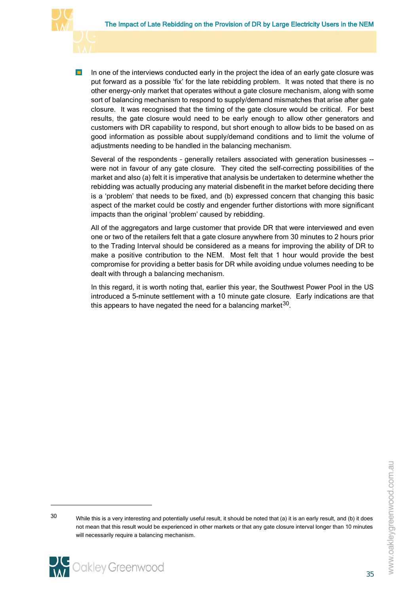

 $\blacksquare$ In one of the interviews conducted early in the project the idea of an early gate closure was put forward as a possible 'fix' for the late rebidding problem. It was noted that there is no other energy-only market that operates without a gate closure mechanism, along with some sort of balancing mechanism to respond to supply/demand mismatches that arise after gate closure. It was recognised that the timing of the gate closure would be critical. For best results, the gate closure would need to be early enough to allow other generators and customers with DR capability to respond, but short enough to allow bids to be based on as good information as possible about supply/demand conditions and to limit the volume of adjustments needing to be handled in the balancing mechanism.

Several of the respondents – generally retailers associated with generation businesses - were not in favour of any gate closure. They cited the self-correcting possibilities of the market and also (a) felt it is imperative that analysis be undertaken to determine whether the rebidding was actually producing any material disbenefit in the market before deciding there is a 'problem' that needs to be fixed, and (b) expressed concern that changing this basic aspect of the market could be costly and engender further distortions with more significant impacts than the original 'problem' caused by rebidding.

All of the aggregators and large customer that provide DR that were interviewed and even one or two of the retailers felt that a gate closure anywhere from 30 minutes to 2 hours prior to the Trading Interval should be considered as a means for improving the ability of DR to make a positive contribution to the NEM. Most felt that 1 hour would provide the best compromise for providing a better basis for DR while avoiding undue volumes needing to be dealt with through a balancing mechanism.

In this regard, it is worth noting that, earlier this year, the Southwest Power Pool in the US introduced a 5-minute settlement with a 10 minute gate closure. Early indications are that this appears to have negated the need for a balancing market  $30$ .

<span id="page-38-0"></span><sup>30</sup> While this is a very interesting and potentially useful result, it should be noted that (a) it is an early result, and (b) it does not mean that this result would be experienced in other markets or that any gate closure interval longer than 10 minutes will necessarily require a balancing mechanism.